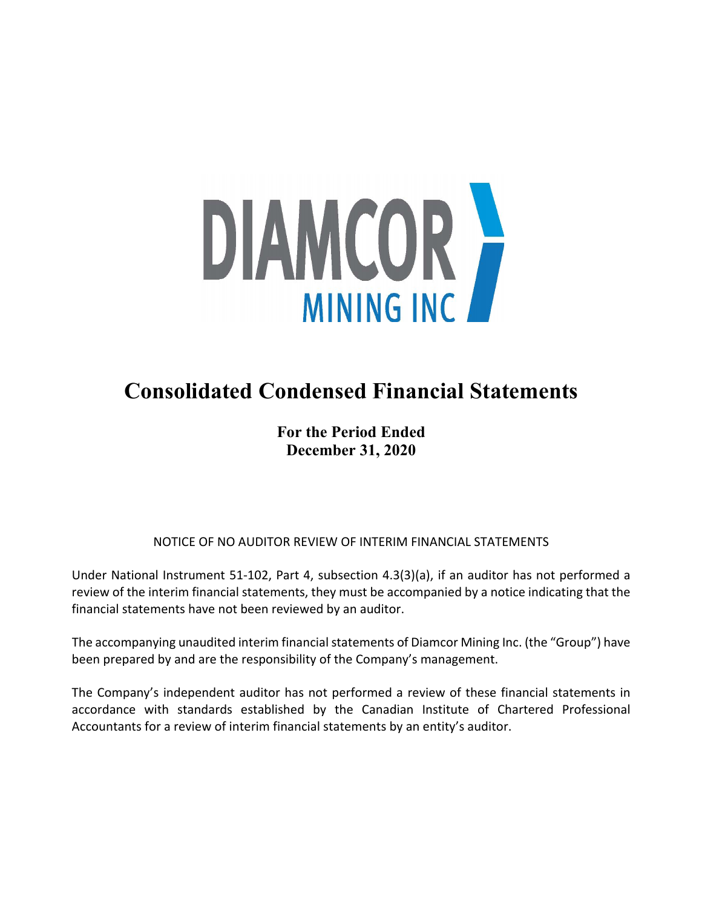

# **Consolidated Condensed Financial Statements**

**For the Period Ended December 31, 2020**

NOTICE OF NO AUDITOR REVIEW OF INTERIM FINANCIAL STATEMENTS

Under National Instrument 51-102, Part 4, subsection 4.3(3)(a), if an auditor has not performed a review of the interim financial statements, they must be accompanied by a notice indicating that the financial statements have not been reviewed by an auditor.

The accompanying unaudited interim financial statements of Diamcor Mining Inc. (the "Group") have been prepared by and are the responsibility of the Company's management.

The Company's independent auditor has not performed a review of these financial statements in accordance with standards established by the Canadian Institute of Chartered Professional Accountants for a review of interim financial statements by an entity's auditor.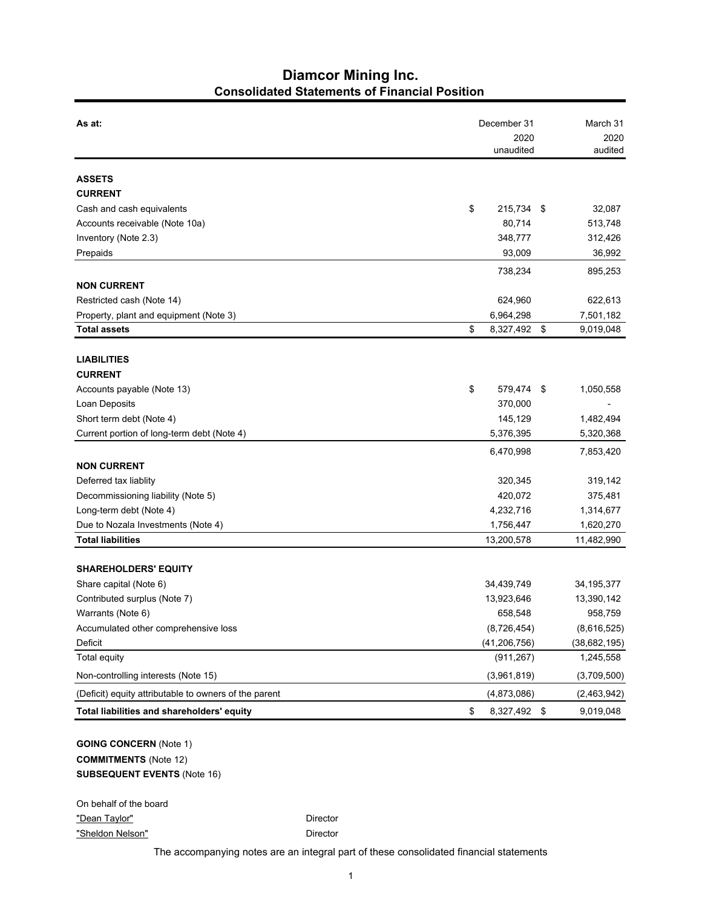## **Diamcor Mining Inc. Consolidated Statements of Financial Position**

| As at:                                                 | December 31        | March 31          |
|--------------------------------------------------------|--------------------|-------------------|
|                                                        | 2020               | 2020              |
|                                                        | unaudited          | audited           |
| <b>ASSETS</b>                                          |                    |                   |
| <b>CURRENT</b>                                         |                    |                   |
| Cash and cash equivalents                              | \$<br>215,734 \$   | 32,087            |
| Accounts receivable (Note 10a)                         | 80,714             | 513,748           |
| Inventory (Note 2.3)                                   | 348,777            | 312,426           |
| Prepaids                                               | 93,009             | 36,992            |
|                                                        | 738,234            | 895,253           |
| <b>NON CURRENT</b>                                     |                    |                   |
| Restricted cash (Note 14)                              | 624,960            | 622,613           |
| Property, plant and equipment (Note 3)                 | 6,964,298          | 7,501,182         |
| <b>Total assets</b>                                    | \$<br>8,327,492    | \$<br>9,019,048   |
|                                                        |                    |                   |
| <b>LIABILITIES</b>                                     |                    |                   |
| <b>CURRENT</b>                                         |                    |                   |
| Accounts payable (Note 13)                             | \$<br>579,474      | - \$<br>1,050,558 |
| Loan Deposits                                          | 370,000            |                   |
| Short term debt (Note 4)                               | 145,129            | 1,482,494         |
| Current portion of long-term debt (Note 4)             | 5,376,395          | 5,320,368         |
|                                                        | 6,470,998          | 7,853,420         |
| <b>NON CURRENT</b>                                     |                    |                   |
| Deferred tax liablity                                  | 320,345            | 319,142           |
| Decommissioning liability (Note 5)                     | 420,072            | 375,481           |
| Long-term debt (Note 4)                                | 4,232,716          | 1,314,677         |
| Due to Nozala Investments (Note 4)                     | 1,756,447          | 1,620,270         |
| <b>Total liabilities</b>                               | 13,200,578         | 11,482,990        |
|                                                        |                    |                   |
| <b>SHAREHOLDERS' EQUITY</b>                            | 34,439,749         | 34, 195, 377      |
| Share capital (Note 6)<br>Contributed surplus (Note 7) | 13,923,646         | 13,390,142        |
| Warrants (Note 6)                                      | 658,548            | 958,759           |
| Accumulated other comprehensive loss                   | (8,726,454)        | (8,616,525)       |
| Deficit                                                | (41, 206, 756)     | (38, 682, 195)    |
| Total equity                                           | (911, 267)         | 1,245,558         |
| Non-controlling interests (Note 15)                    | (3,961,819)        | (3,709,500)       |
| (Deficit) equity attributable to owners of the parent  | (4,873,086)        | (2,463,942)       |
| Total liabilities and shareholders' equity             | \$<br>8,327,492 \$ | 9,019,048         |
|                                                        |                    |                   |
| <b>GOING CONCERN (Note 1)</b>                          |                    |                   |
| <b>COMMITMENTS</b> (Note 12)                           |                    |                   |
|                                                        |                    |                   |
| <b>SUBSEQUENT EVENTS (Note 16)</b>                     |                    |                   |
|                                                        |                    |                   |

On behalf of the board "Dean Taylor" **Director** Director "Sheldon Nelson" Director

The accompanying notes are an integral part of these consolidated financial statements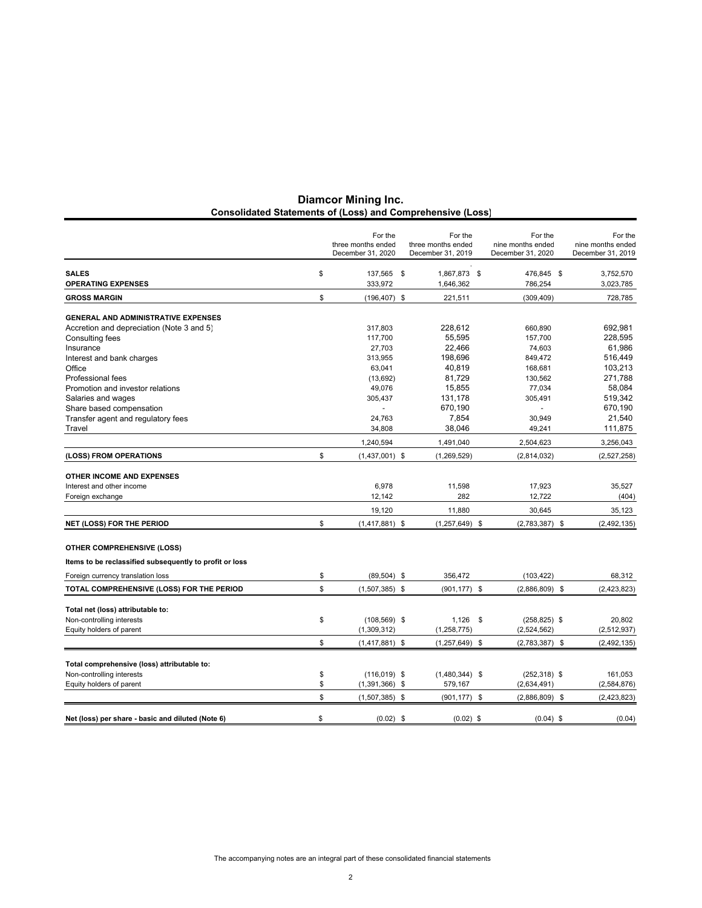|                                                         | For the                                 | For the                                 | For the                                | For the                                |
|---------------------------------------------------------|-----------------------------------------|-----------------------------------------|----------------------------------------|----------------------------------------|
|                                                         | three months ended<br>December 31, 2020 | three months ended<br>December 31, 2019 | nine months ended<br>December 31, 2020 | nine months ended<br>December 31, 2019 |
| <b>SALES</b>                                            | \$<br>137,565 \$                        | 1,867,873 \$                            | 476,845 \$                             | 3,752,570                              |
| <b>OPERATING EXPENSES</b>                               | 333,972                                 | 1,646,362                               | 786,254                                | 3,023,785                              |
| <b>GROSS MARGIN</b>                                     | \$<br>$(196, 407)$ \$                   | 221,511                                 | (309, 409)                             | 728,785                                |
|                                                         |                                         |                                         |                                        |                                        |
| <b>GENERAL AND ADMINISTRATIVE EXPENSES</b>              |                                         |                                         |                                        |                                        |
| Accretion and depreciation (Note 3 and 5)               | 317,803<br>117,700                      | 228,612<br>55,595                       | 660,890<br>157,700                     | 692,981<br>228.595                     |
| Consulting fees<br>Insurance                            | 27,703                                  | 22,466                                  | 74,603                                 | 61,986                                 |
| Interest and bank charges                               | 313,955                                 | 198,696                                 | 849,472                                | 516,449                                |
| Office                                                  | 63,041                                  | 40,819                                  | 168,681                                | 103,213                                |
| Professional fees                                       | (13,692)                                | 81,729                                  | 130,562                                | 271,788                                |
| Promotion and investor relations                        | 49,076                                  | 15,855                                  | 77,034                                 | 58,084                                 |
| Salaries and wages                                      | 305,437                                 | 131,178                                 | 305,491                                | 519,342                                |
| Share based compensation                                |                                         | 670.190                                 | $\blacksquare$                         | 670,190                                |
| Transfer agent and regulatory fees                      | 24,763                                  | 7,854                                   | 30,949                                 | 21,540                                 |
| Travel                                                  | 34,808                                  | 38,046                                  | 49,241                                 | 111,875                                |
|                                                         | 1,240,594                               | 1,491,040                               | 2,504,623                              | 3,256,043                              |
| (LOSS) FROM OPERATIONS                                  | \$<br>$(1,437,001)$ \$                  | (1, 269, 529)                           | (2,814,032)                            | (2,527,258)                            |
| <b>OTHER INCOME AND EXPENSES</b>                        |                                         |                                         |                                        |                                        |
| Interest and other income                               | 6,978                                   | 11,598                                  | 17,923                                 | 35,527                                 |
| Foreign exchange                                        | 12,142                                  | 282                                     | 12,722                                 | (404)                                  |
|                                                         | 19,120                                  | 11,880                                  | 30,645                                 | 35,123                                 |
| <b>NET (LOSS) FOR THE PERIOD</b>                        | \$<br>$(1,417,881)$ \$                  | $(1,257,649)$ \$                        | $(2,783,387)$ \$                       | (2, 492, 135)                          |
| <b>OTHER COMPREHENSIVE (LOSS)</b>                       |                                         |                                         |                                        |                                        |
| Items to be reclassified subsequently to profit or loss |                                         |                                         |                                        |                                        |
| Foreign currency translation loss                       | \$<br>$(89, 504)$ \$                    | 356,472                                 | (103, 422)                             | 68,312                                 |
| TOTAL COMPREHENSIVE (LOSS) FOR THE PERIOD               | \$<br>$(1,507,385)$ \$                  | $(901, 177)$ \$                         | $(2,886,809)$ \$                       | (2, 423, 823)                          |
|                                                         |                                         |                                         |                                        |                                        |
| Total net (loss) attributable to:                       |                                         |                                         |                                        |                                        |
| Non-controlling interests                               | \$<br>$(108, 569)$ \$                   | $1,126$ \$                              | $(258, 825)$ \$                        | 20,802                                 |
| Equity holders of parent                                | (1,309,312)                             | (1, 258, 775)                           | (2,524,562)                            | (2,512,937)                            |
|                                                         | \$<br>$(1,417,881)$ \$                  | $(1,257,649)$ \$                        | $(2,783,387)$ \$                       | (2, 492, 135)                          |
| Total comprehensive (loss) attributable to:             |                                         |                                         |                                        |                                        |
| Non-controlling interests                               | \$<br>$(116,019)$ \$                    | $(1,480,344)$ \$                        | $(252, 318)$ \$                        | 161,053                                |
| Equity holders of parent                                | \$<br>$(1,391,366)$ \$                  | 579,167                                 | (2,634,491)                            | (2,584,876)                            |
|                                                         | \$<br>$(1,507,385)$ \$                  | $(901, 177)$ \$                         | $(2,886,809)$ \$                       | (2, 423, 823)                          |
|                                                         |                                         |                                         |                                        |                                        |
| Net (loss) per share - basic and diluted (Note 6)       | \$<br>$(0.02)$ \$                       | $(0.02)$ \$                             | $(0.04)$ \$                            | (0.04)                                 |

#### **Diamcor Mining Inc. Consolidated Statements of (Loss) and Comprehensive (Loss)**

The accompanying notes are an integral part of these consolidated financial statements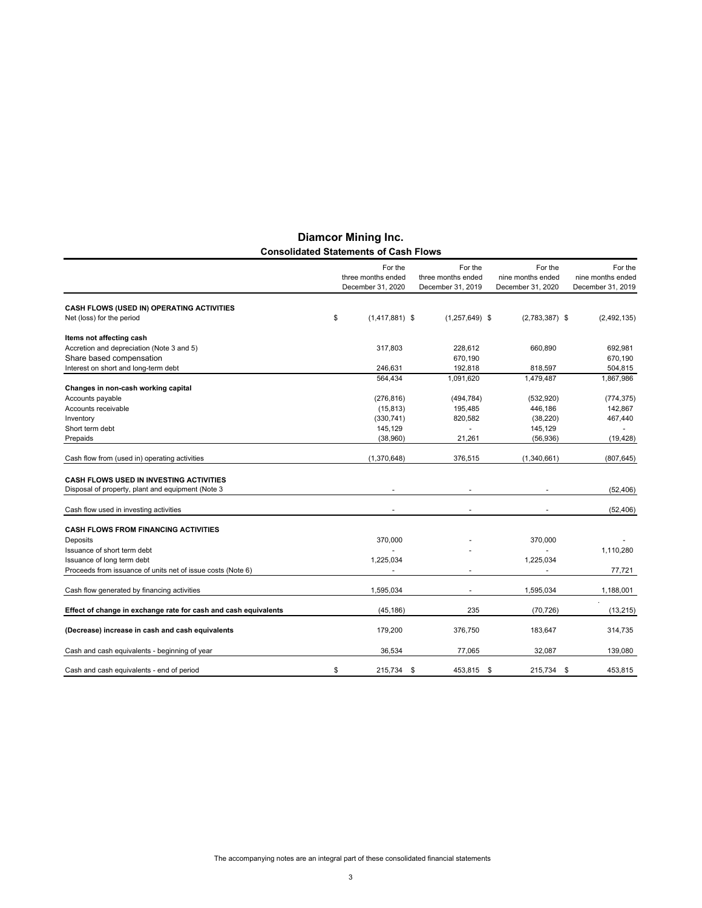|                                                                 | For the                                 | For the                                 | For the                                | For the                                |
|-----------------------------------------------------------------|-----------------------------------------|-----------------------------------------|----------------------------------------|----------------------------------------|
|                                                                 | three months ended<br>December 31, 2020 | three months ended<br>December 31, 2019 | nine months ended<br>December 31, 2020 | nine months ended<br>December 31, 2019 |
| CASH FLOWS (USED IN) OPERATING ACTIVITIES                       |                                         |                                         |                                        |                                        |
| Net (loss) for the period                                       | \$<br>$(1,417,881)$ \$                  | $(1,257,649)$ \$                        | $(2,783,387)$ \$                       | (2,492,135)                            |
| Items not affecting cash                                        |                                         |                                         |                                        |                                        |
| Accretion and depreciation (Note 3 and 5)                       | 317,803                                 | 228,612                                 | 660,890                                | 692,981                                |
| Share based compensation                                        |                                         | 670,190                                 |                                        | 670,190                                |
| Interest on short and long-term debt                            | 246.631                                 | 192.818                                 | 818.597                                | 504.815                                |
|                                                                 | 564.434                                 | 1,091,620                               | 1,479,487                              | 1,867,986                              |
| Changes in non-cash working capital                             |                                         |                                         |                                        |                                        |
| Accounts payable                                                | (276, 816)                              | (494, 784)                              | (532, 920)                             | (774, 375)                             |
| Accounts receivable                                             | (15, 813)                               | 195,485                                 | 446,186                                | 142,867                                |
| Inventory                                                       | (330, 741)                              | 820.582                                 | (38, 220)                              | 467,440                                |
| Short term debt                                                 | 145,129                                 | $\blacksquare$                          | 145,129                                |                                        |
| Prepaids                                                        | (38,960)                                | 21.261                                  | (56, 936)                              | (19, 428)                              |
| Cash flow from (used in) operating activities                   | (1,370,648)                             | 376,515                                 | (1,340,661)                            | (807, 645)                             |
| <b>CASH FLOWS USED IN INVESTING ACTIVITIES</b>                  |                                         |                                         |                                        |                                        |
| Disposal of property, plant and equipment (Note 3               |                                         |                                         |                                        | (52, 406)                              |
| Cash flow used in investing activities                          |                                         |                                         |                                        | (52, 406)                              |
| <b>CASH FLOWS FROM FINANCING ACTIVITIES</b>                     |                                         |                                         |                                        |                                        |
| Deposits                                                        | 370,000                                 |                                         | 370,000                                |                                        |
| Issuance of short term debt                                     |                                         |                                         |                                        | 1,110,280                              |
| Issuance of long term debt                                      | 1,225,034                               |                                         | 1,225,034                              |                                        |
| Proceeds from issuance of units net of issue costs (Note 6)     |                                         |                                         |                                        | 77,721                                 |
| Cash flow generated by financing activities                     | 1,595,034                               |                                         | 1,595,034                              | 1,188,001                              |
|                                                                 |                                         |                                         |                                        |                                        |
| Effect of change in exchange rate for cash and cash equivalents | (45, 186)                               | 235                                     | (70, 726)                              | (13, 215)                              |
| (Decrease) increase in cash and cash equivalents                | 179,200                                 | 376,750                                 | 183,647                                | 314,735                                |
| Cash and cash equivalents - beginning of year                   | 36.534                                  | 77.065                                  | 32,087                                 | 139,080                                |
| Cash and cash equivalents - end of period                       | \$<br>215,734                           | \$<br>453,815                           | \$<br>215,734                          | \$<br>453,815                          |

#### **Diamcor Mining Inc. Consolidated Statements of Cash Flows**

The accompanying notes are an integral part of these consolidated financial statements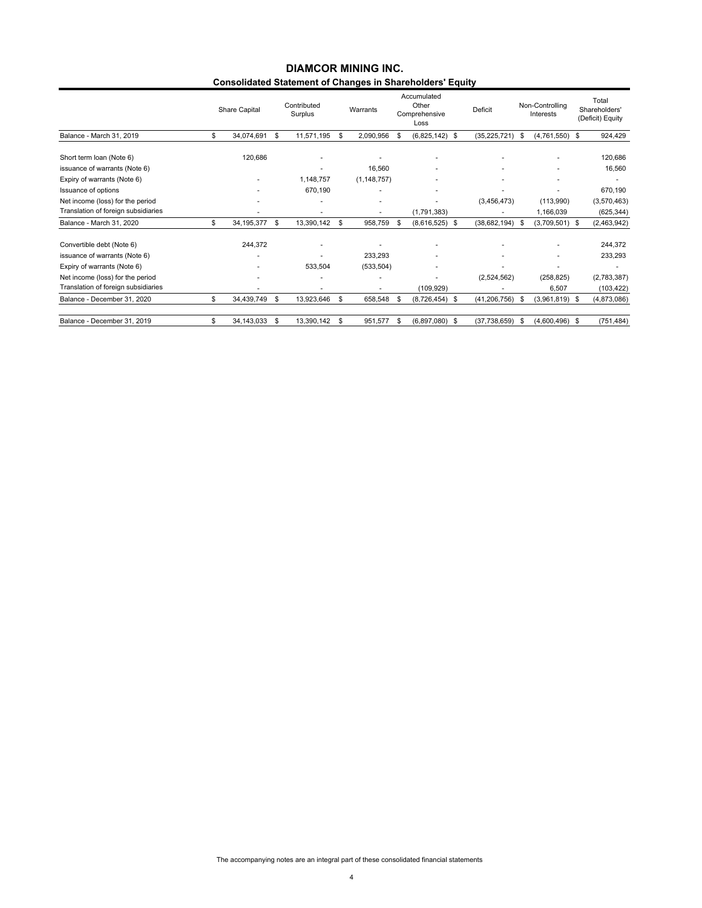#### **Consolidated Statement of Changes in Shareholders' Equity DIAMCOR MINING INC.**

|                                     |     | Share Capital | Contributed<br>Surplus |     | Warrants      | Accumulated<br>Other<br>Comprehensive<br>Loss | Deficit             |      | Non-Controlling<br>Interests | Total<br>Shareholders'<br>(Deficit) Equity |
|-------------------------------------|-----|---------------|------------------------|-----|---------------|-----------------------------------------------|---------------------|------|------------------------------|--------------------------------------------|
| Balance - March 31, 2019            | \$  | 34,074,691    | \$<br>11,571,195       | \$. | 2,090,956     | \$<br>$(6,825,142)$ \$                        | $(35, 225, 721)$ \$ |      | $(4,761,550)$ \$             | 924,429                                    |
| Short term loan (Note 6)            |     | 120,686       |                        |     |               |                                               |                     |      |                              | 120,686                                    |
| issuance of warrants (Note 6)       |     |               |                        |     | 16,560        |                                               |                     |      |                              | 16,560                                     |
| Expiry of warrants (Note 6)         |     |               | 1,148,757              |     | (1, 148, 757) |                                               |                     |      |                              |                                            |
| Issuance of options                 |     |               | 670,190                |     |               | $\overline{\phantom{a}}$                      |                     |      |                              | 670,190                                    |
| Net income (loss) for the period    |     |               |                        |     |               |                                               | (3,456,473)         |      | (113,990)                    | (3,570,463)                                |
| Translation of foreign subsidiaries |     |               |                        |     |               | (1,791,383)                                   |                     |      | 1,166,039                    | (625, 344)                                 |
| Balance - March 31, 2020            | \$  | 34, 195, 377  | \$<br>13,390,142       | \$  | 958,759       | \$<br>$(8,616,525)$ \$                        | (38, 682, 194)      | - \$ | $(3,709,501)$ \$             | (2,463,942)                                |
| Convertible debt (Note 6)           |     | 244,372       |                        |     |               |                                               |                     |      |                              | 244,372                                    |
| issuance of warrants (Note 6)       |     |               |                        |     | 233,293       |                                               |                     |      |                              | 233,293                                    |
| Expiry of warrants (Note 6)         |     |               | 533,504                |     | (533, 504)    | ٠                                             |                     |      |                              | ۰                                          |
| Net income (loss) for the period    |     |               |                        |     |               |                                               | (2,524,562)         |      | (258, 825)                   | (2,783,387)                                |
| Translation of foreign subsidiaries |     |               |                        |     |               | (109, 929)                                    |                     |      | 6,507                        | (103, 422)                                 |
| Balance - December 31, 2020         | \$. | 34,439,749    | \$<br>13,923,646       | \$  | 658,548       | \$<br>$(8,726,454)$ \$                        | (41, 206, 756)      | - \$ | $(3,961,819)$ \$             | (4,873,086)                                |
| Balance - December 31, 2019         | \$  | 34,143,033    | \$<br>13,390,142       | \$  | 951,577       | \$<br>$(6,897,080)$ \$                        | (37,738,659)        | \$   | $(4,600,496)$ \$             | (751, 484)                                 |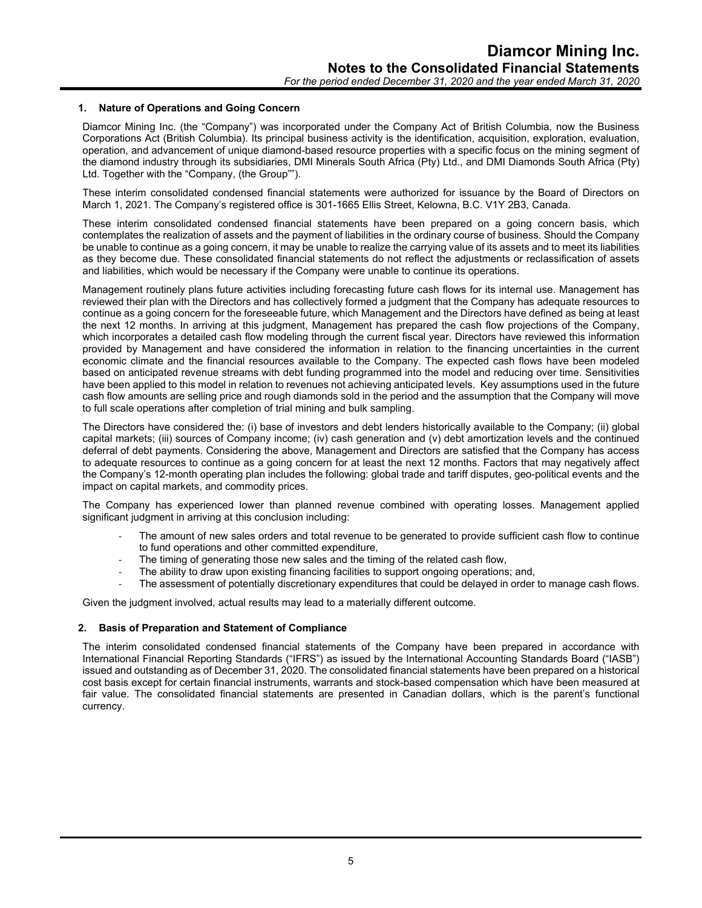#### **1. Nature of Operations and Going Concern**

Diamcor Mining Inc. (the "Company") was incorporated under the Company Act of British Columbia, now the Business Corporations Act (British Columbia). Its principal business activity is the identification, acquisition, exploration, evaluation, operation, and advancement of unique diamond-based resource properties with a specific focus on the mining segment of the diamond industry through its subsidiaries, DMI Minerals South Africa (Pty) Ltd., and DMI Diamonds South Africa (Pty) Ltd. Together with the "Company, (the Group"").

These interim consolidated condensed financial statements were authorized for issuance by the Board of Directors on March 1, 2021. The Company's registered office is 301-1665 Ellis Street, Kelowna, B.C. V1Y 2B3, Canada.

These interim consolidated condensed financial statements have been prepared on a going concern basis, which contemplates the realization of assets and the payment of liabilities in the ordinary course of business. Should the Company be unable to continue as a going concern, it may be unable to realize the carrying value of its assets and to meet its liabilities as they become due. These consolidated financial statements do not reflect the adjustments or reclassification of assets and liabilities, which would be necessary if the Company were unable to continue its operations.

Management routinely plans future activities including forecasting future cash flows for its internal use. Management has reviewed their plan with the Directors and has collectively formed a judgment that the Company has adequate resources to continue as a going concern for the foreseeable future, which Management and the Directors have defined as being at least the next 12 months. In arriving at this judgment, Management has prepared the cash flow projections of the Company, which incorporates a detailed cash flow modeling through the current fiscal year. Directors have reviewed this information provided by Management and have considered the information in relation to the financing uncertainties in the current economic climate and the financial resources available to the Company. The expected cash flows have been modeled based on anticipated revenue streams with debt funding programmed into the model and reducing over time. Sensitivities have been applied to this model in relation to revenues not achieving anticipated levels. Key assumptions used in the future cash flow amounts are selling price and rough diamonds sold in the period and the assumption that the Company will move to full scale operations after completion of trial mining and bulk sampling.

The Directors have considered the: (i) base of investors and debt lenders historically available to the Company; (ii) global capital markets; (iii) sources of Company income; (iv) cash generation and (v) debt amortization levels and the continued deferral of debt payments. Considering the above, Management and Directors are satisfied that the Company has access to adequate resources to continue as a going concern for at least the next 12 months. Factors that may negatively affect the Company's 12-month operating plan includes the following: global trade and tariff disputes, geo-political events and the impact on capital markets, and commodity prices.

The Company has experienced lower than planned revenue combined with operating losses. Management applied significant judgment in arriving at this conclusion including:

- The amount of new sales orders and total revenue to be generated to provide sufficient cash flow to continue to fund operations and other committed expenditure,
- The timing of generating those new sales and the timing of the related cash flow,
- The ability to draw upon existing financing facilities to support ongoing operations; and,
- The assessment of potentially discretionary expenditures that could be delayed in order to manage cash flows.

Given the judgment involved, actual results may lead to a materially different outcome.

#### **2. Basis of Preparation and Statement of Compliance**

The interim consolidated condensed financial statements of the Company have been prepared in accordance with International Financial Reporting Standards ("IFRS") as issued by the International Accounting Standards Board ("IASB") issued and outstanding as of December 31, 2020. The consolidated financial statements have been prepared on a historical cost basis except for certain financial instruments, warrants and stock-based compensation which have been measured at fair value. The consolidated financial statements are presented in Canadian dollars, which is the parent's functional currency.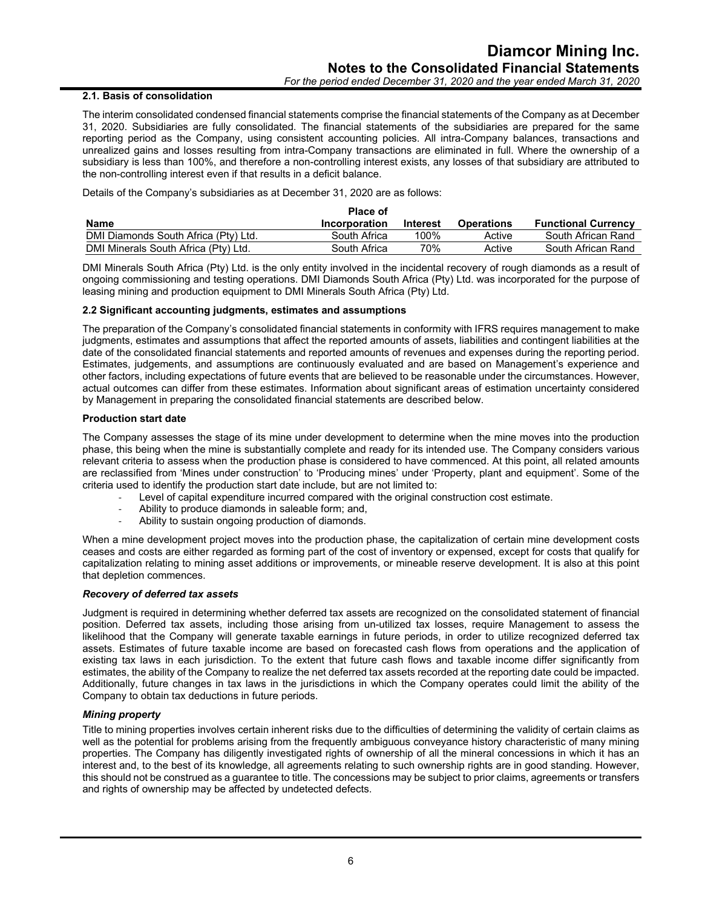#### **2.1. Basis of consolidation**

The interim consolidated condensed financial statements comprise the financial statements of the Company as at December 31, 2020. Subsidiaries are fully consolidated. The financial statements of the subsidiaries are prepared for the same reporting period as the Company, using consistent accounting policies. All intra-Company balances, transactions and unrealized gains and losses resulting from intra-Company transactions are eliminated in full. Where the ownership of a subsidiary is less than 100%, and therefore a non-controlling interest exists, any losses of that subsidiary are attributed to the non-controlling interest even if that results in a deficit balance.

Details of the Company's subsidiaries as at December 31, 2020 are as follows:

|                                      | <b>Place of</b> |                 |                   |                            |
|--------------------------------------|-----------------|-----------------|-------------------|----------------------------|
| <b>Name</b>                          | Incorporation   | <b>Interest</b> | <b>Operations</b> | <b>Functional Currency</b> |
| DMI Diamonds South Africa (Pty) Ltd. | South Africa    | 100%            | Active            | South African Rand         |
| DMI Minerals South Africa (Pty) Ltd. | South Africa    | 70%             | Active            | South African Rand         |

DMI Minerals South Africa (Pty) Ltd. is the only entity involved in the incidental recovery of rough diamonds as a result of ongoing commissioning and testing operations. DMI Diamonds South Africa (Pty) Ltd. was incorporated for the purpose of leasing mining and production equipment to DMI Minerals South Africa (Pty) Ltd.

#### **2.2 Significant accounting judgments, estimates and assumptions**

The preparation of the Company's consolidated financial statements in conformity with IFRS requires management to make judgments, estimates and assumptions that affect the reported amounts of assets, liabilities and contingent liabilities at the date of the consolidated financial statements and reported amounts of revenues and expenses during the reporting period. Estimates, judgements, and assumptions are continuously evaluated and are based on Management's experience and other factors, including expectations of future events that are believed to be reasonable under the circumstances. However, actual outcomes can differ from these estimates. Information about significant areas of estimation uncertainty considered by Management in preparing the consolidated financial statements are described below.

#### **Production start date**

The Company assesses the stage of its mine under development to determine when the mine moves into the production phase, this being when the mine is substantially complete and ready for its intended use. The Company considers various relevant criteria to assess when the production phase is considered to have commenced. At this point, all related amounts are reclassified from 'Mines under construction' to 'Producing mines' under 'Property, plant and equipment'. Some of the criteria used to identify the production start date include, but are not limited to:

- Level of capital expenditure incurred compared with the original construction cost estimate.
- Ability to produce diamonds in saleable form; and,
- Ability to sustain ongoing production of diamonds.

When a mine development project moves into the production phase, the capitalization of certain mine development costs ceases and costs are either regarded as forming part of the cost of inventory or expensed, except for costs that qualify for capitalization relating to mining asset additions or improvements, or mineable reserve development. It is also at this point that depletion commences.

#### *Recovery of deferred tax assets*

Judgment is required in determining whether deferred tax assets are recognized on the consolidated statement of financial position. Deferred tax assets, including those arising from un-utilized tax losses, require Management to assess the likelihood that the Company will generate taxable earnings in future periods, in order to utilize recognized deferred tax assets. Estimates of future taxable income are based on forecasted cash flows from operations and the application of existing tax laws in each jurisdiction. To the extent that future cash flows and taxable income differ significantly from estimates, the ability of the Company to realize the net deferred tax assets recorded at the reporting date could be impacted. Additionally, future changes in tax laws in the jurisdictions in which the Company operates could limit the ability of the Company to obtain tax deductions in future periods.

#### *Mining property*

Title to mining properties involves certain inherent risks due to the difficulties of determining the validity of certain claims as well as the potential for problems arising from the frequently ambiguous conveyance history characteristic of many mining properties. The Company has diligently investigated rights of ownership of all the mineral concessions in which it has an interest and, to the best of its knowledge, all agreements relating to such ownership rights are in good standing. However, this should not be construed as a guarantee to title. The concessions may be subject to prior claims, agreements or transfers and rights of ownership may be affected by undetected defects.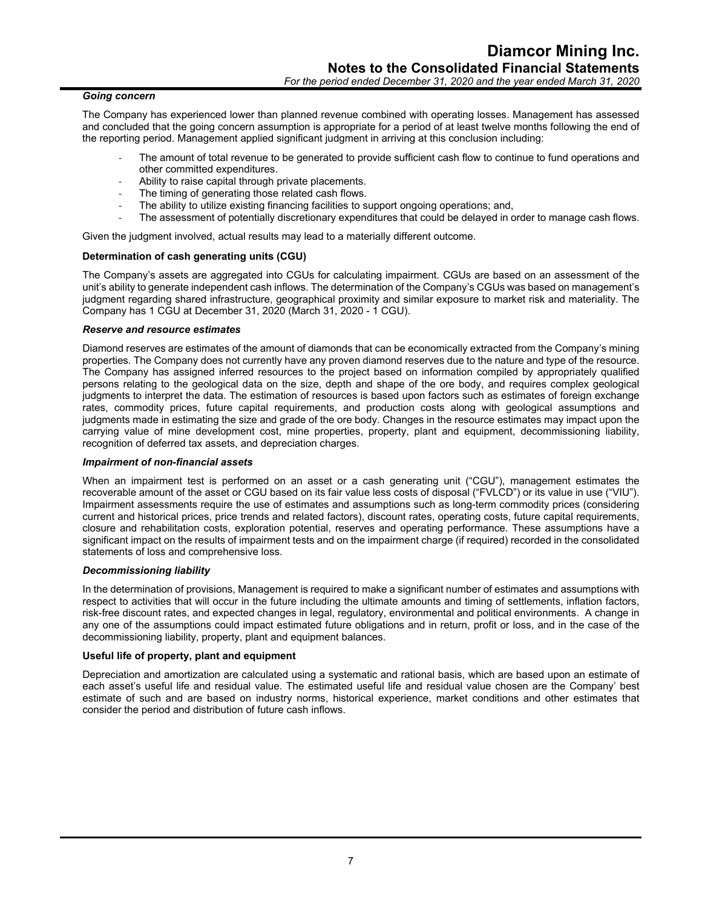#### *Going concern*

The Company has experienced lower than planned revenue combined with operating losses. Management has assessed and concluded that the going concern assumption is appropriate for a period of at least twelve months following the end of the reporting period. Management applied significant judgment in arriving at this conclusion including:

- The amount of total revenue to be generated to provide sufficient cash flow to continue to fund operations and other committed expenditures.
- Ability to raise capital through private placements.
- The timing of generating those related cash flows.
- The ability to utilize existing financing facilities to support ongoing operations; and,
- The assessment of potentially discretionary expenditures that could be delayed in order to manage cash flows.

Given the judgment involved, actual results may lead to a materially different outcome.

#### **Determination of cash generating units (CGU)**

The Company's assets are aggregated into CGUs for calculating impairment. CGUs are based on an assessment of the unit's ability to generate independent cash inflows. The determination of the Company's CGUs was based on management's judgment regarding shared infrastructure, geographical proximity and similar exposure to market risk and materiality. The Company has 1 CGU at December 31, 2020 (March 31, 2020 - 1 CGU).

#### *Reserve and resource estimates*

Diamond reserves are estimates of the amount of diamonds that can be economically extracted from the Company's mining properties. The Company does not currently have any proven diamond reserves due to the nature and type of the resource. The Company has assigned inferred resources to the project based on information compiled by appropriately qualified persons relating to the geological data on the size, depth and shape of the ore body, and requires complex geological judgments to interpret the data. The estimation of resources is based upon factors such as estimates of foreign exchange rates, commodity prices, future capital requirements, and production costs along with geological assumptions and judgments made in estimating the size and grade of the ore body. Changes in the resource estimates may impact upon the carrying value of mine development cost, mine properties, property, plant and equipment, decommissioning liability, recognition of deferred tax assets, and depreciation charges.

#### *Impairment of non-financial assets*

When an impairment test is performed on an asset or a cash generating unit ("CGU"), management estimates the recoverable amount of the asset or CGU based on its fair value less costs of disposal ("FVLCD") or its value in use ("VIU"). Impairment assessments require the use of estimates and assumptions such as long-term commodity prices (considering current and historical prices, price trends and related factors), discount rates, operating costs, future capital requirements, closure and rehabilitation costs, exploration potential, reserves and operating performance. These assumptions have a significant impact on the results of impairment tests and on the impairment charge (if required) recorded in the consolidated statements of loss and comprehensive loss.

#### *Decommissioning liability*

In the determination of provisions, Management is required to make a significant number of estimates and assumptions with respect to activities that will occur in the future including the ultimate amounts and timing of settlements, inflation factors, risk-free discount rates, and expected changes in legal, regulatory, environmental and political environments. A change in any one of the assumptions could impact estimated future obligations and in return, profit or loss, and in the case of the decommissioning liability, property, plant and equipment balances.

#### **Useful life of property, plant and equipment**

Depreciation and amortization are calculated using a systematic and rational basis, which are based upon an estimate of each asset's useful life and residual value. The estimated useful life and residual value chosen are the Company' best estimate of such and are based on industry norms, historical experience, market conditions and other estimates that consider the period and distribution of future cash inflows.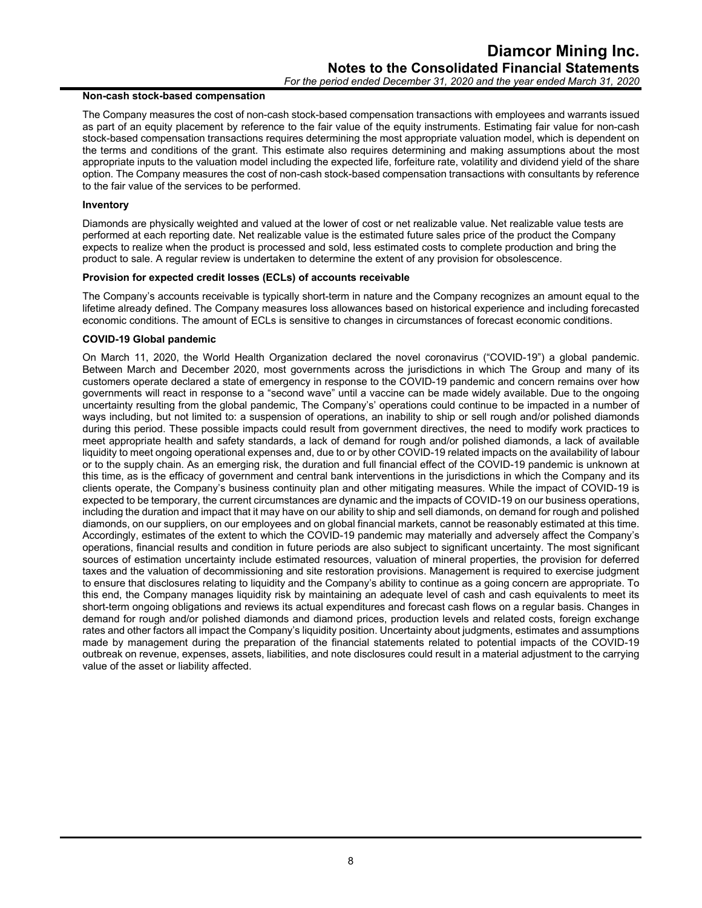#### **Non-cash stock-based compensation**

The Company measures the cost of non-cash stock-based compensation transactions with employees and warrants issued as part of an equity placement by reference to the fair value of the equity instruments. Estimating fair value for non-cash stock-based compensation transactions requires determining the most appropriate valuation model, which is dependent on the terms and conditions of the grant. This estimate also requires determining and making assumptions about the most appropriate inputs to the valuation model including the expected life, forfeiture rate, volatility and dividend yield of the share option. The Company measures the cost of non-cash stock-based compensation transactions with consultants by reference to the fair value of the services to be performed.

#### **Inventory**

Diamonds are physically weighted and valued at the lower of cost or net realizable value. Net realizable value tests are performed at each reporting date. Net realizable value is the estimated future sales price of the product the Company expects to realize when the product is processed and sold, less estimated costs to complete production and bring the product to sale. A regular review is undertaken to determine the extent of any provision for obsolescence.

#### **Provision for expected credit losses (ECLs) of accounts receivable**

The Company's accounts receivable is typically short-term in nature and the Company recognizes an amount equal to the lifetime already defined. The Company measures loss allowances based on historical experience and including forecasted economic conditions. The amount of ECLs is sensitive to changes in circumstances of forecast economic conditions.

#### **COVID-19 Global pandemic**

On March 11, 2020, the World Health Organization declared the novel coronavirus ("COVID-19") a global pandemic. Between March and December 2020, most governments across the jurisdictions in which The Group and many of its customers operate declared a state of emergency in response to the COVID-19 pandemic and concern remains over how governments will react in response to a "second wave" until a vaccine can be made widely available. Due to the ongoing uncertainty resulting from the global pandemic, The Company's' operations could continue to be impacted in a number of ways including, but not limited to: a suspension of operations, an inability to ship or sell rough and/or polished diamonds during this period. These possible impacts could result from government directives, the need to modify work practices to meet appropriate health and safety standards, a lack of demand for rough and/or polished diamonds, a lack of available liquidity to meet ongoing operational expenses and, due to or by other COVID-19 related impacts on the availability of labour or to the supply chain. As an emerging risk, the duration and full financial effect of the COVID-19 pandemic is unknown at this time, as is the efficacy of government and central bank interventions in the jurisdictions in which the Company and its clients operate, the Company's business continuity plan and other mitigating measures. While the impact of COVID-19 is expected to be temporary, the current circumstances are dynamic and the impacts of COVID-19 on our business operations, including the duration and impact that it may have on our ability to ship and sell diamonds, on demand for rough and polished diamonds, on our suppliers, on our employees and on global financial markets, cannot be reasonably estimated at this time. Accordingly, estimates of the extent to which the COVID-19 pandemic may materially and adversely affect the Company's operations, financial results and condition in future periods are also subject to significant uncertainty. The most significant sources of estimation uncertainty include estimated resources, valuation of mineral properties, the provision for deferred taxes and the valuation of decommissioning and site restoration provisions. Management is required to exercise judgment to ensure that disclosures relating to liquidity and the Company's ability to continue as a going concern are appropriate. To this end, the Company manages liquidity risk by maintaining an adequate level of cash and cash equivalents to meet its short-term ongoing obligations and reviews its actual expenditures and forecast cash flows on a regular basis. Changes in demand for rough and/or polished diamonds and diamond prices, production levels and related costs, foreign exchange rates and other factors all impact the Company's liquidity position. Uncertainty about judgments, estimates and assumptions made by management during the preparation of the financial statements related to potential impacts of the COVID-19 outbreak on revenue, expenses, assets, liabilities, and note disclosures could result in a material adjustment to the carrying value of the asset or liability affected.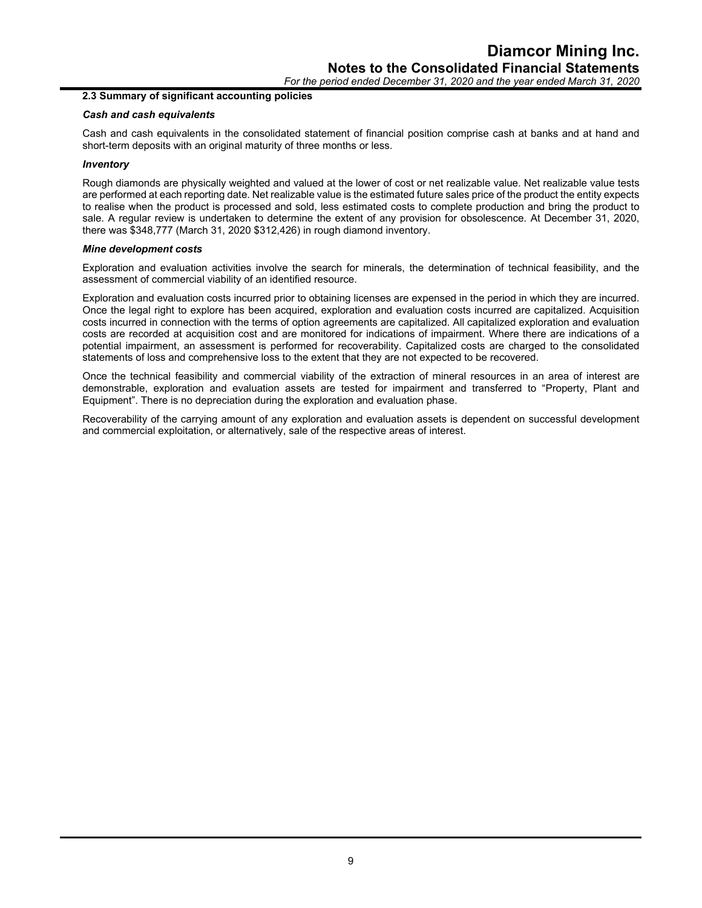*For the period ended December 31, 2020 and the year ended March 31, 2020*

#### **2.3 Summary of significant accounting policies**

#### *Cash and cash equivalents*

Cash and cash equivalents in the consolidated statement of financial position comprise cash at banks and at hand and short-term deposits with an original maturity of three months or less.

#### *Inventory*

Rough diamonds are physically weighted and valued at the lower of cost or net realizable value. Net realizable value tests are performed at each reporting date. Net realizable value is the estimated future sales price of the product the entity expects to realise when the product is processed and sold, less estimated costs to complete production and bring the product to sale. A regular review is undertaken to determine the extent of any provision for obsolescence. At December 31, 2020, there was \$348,777 (March 31, 2020 \$312,426) in rough diamond inventory.

#### *Mine development costs*

Exploration and evaluation activities involve the search for minerals, the determination of technical feasibility, and the assessment of commercial viability of an identified resource.

Exploration and evaluation costs incurred prior to obtaining licenses are expensed in the period in which they are incurred. Once the legal right to explore has been acquired, exploration and evaluation costs incurred are capitalized. Acquisition costs incurred in connection with the terms of option agreements are capitalized. All capitalized exploration and evaluation costs are recorded at acquisition cost and are monitored for indications of impairment. Where there are indications of a potential impairment, an assessment is performed for recoverability. Capitalized costs are charged to the consolidated statements of loss and comprehensive loss to the extent that they are not expected to be recovered.

Once the technical feasibility and commercial viability of the extraction of mineral resources in an area of interest are demonstrable, exploration and evaluation assets are tested for impairment and transferred to "Property, Plant and Equipment". There is no depreciation during the exploration and evaluation phase.

Recoverability of the carrying amount of any exploration and evaluation assets is dependent on successful development and commercial exploitation, or alternatively, sale of the respective areas of interest.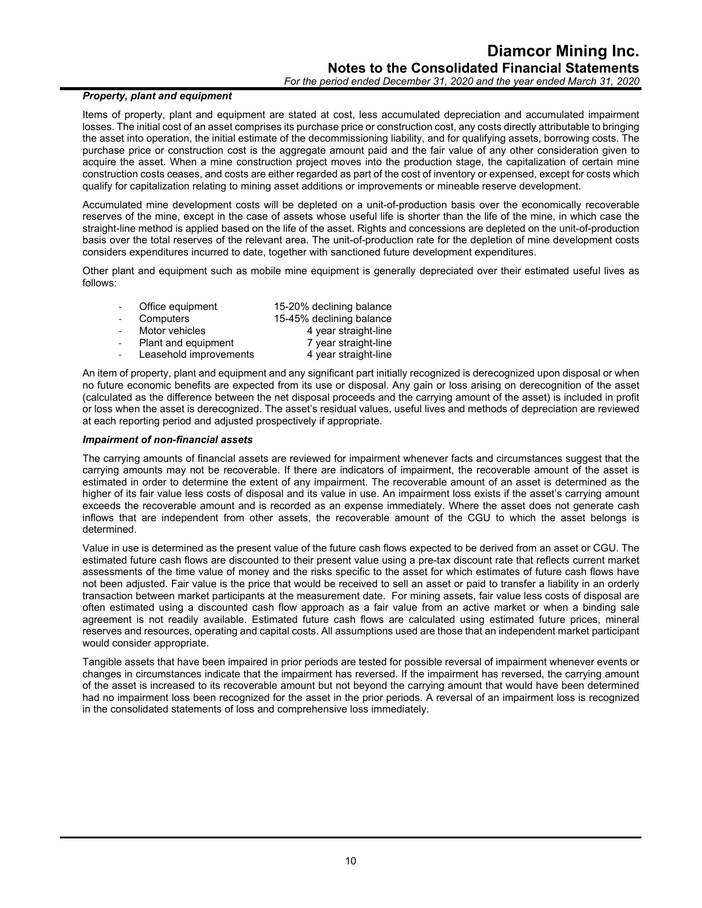#### *Property, plant and equipment*

Items of property, plant and equipment are stated at cost, less accumulated depreciation and accumulated impairment losses. The initial cost of an asset comprises its purchase price or construction cost, any costs directly attributable to bringing the asset into operation, the initial estimate of the decommissioning liability, and for qualifying assets, borrowing costs. The purchase price or construction cost is the aggregate amount paid and the fair value of any other consideration given to acquire the asset. When a mine construction project moves into the production stage, the capitalization of certain mine construction costs ceases, and costs are either regarded as part of the cost of inventory or expensed, except for costs which qualify for capitalization relating to mining asset additions or improvements or mineable reserve development.

Accumulated mine development costs will be depleted on a unit-of-production basis over the economically recoverable reserves of the mine, except in the case of assets whose useful life is shorter than the life of the mine, in which case the straight-line method is applied based on the life of the asset. Rights and concessions are depleted on the unit-of-production basis over the total reserves of the relevant area. The unit-of-production rate for the depletion of mine development costs considers expenditures incurred to date, together with sanctioned future development expenditures.

Other plant and equipment such as mobile mine equipment is generally depreciated over their estimated useful lives as follows:

| Office equipment       | 15-20% declining balance |
|------------------------|--------------------------|
| Computers              | 15-45% declining balance |
| Motor vehicles         | 4 year straight-line     |
| Plant and equipment    | 7 year straight-line     |
| Leasehold improvements | 4 year straight-line     |

An item of property, plant and equipment and any significant part initially recognized is derecognized upon disposal or when no future economic benefits are expected from its use or disposal. Any gain or loss arising on derecognition of the asset (calculated as the difference between the net disposal proceeds and the carrying amount of the asset) is included in profit or loss when the asset is derecognized. The asset's residual values, useful lives and methods of depreciation are reviewed at each reporting period and adjusted prospectively if appropriate.

#### *Impairment of non-financial assets*

The carrying amounts of financial assets are reviewed for impairment whenever facts and circumstances suggest that the carrying amounts may not be recoverable. If there are indicators of impairment, the recoverable amount of the asset is estimated in order to determine the extent of any impairment. The recoverable amount of an asset is determined as the higher of its fair value less costs of disposal and its value in use. An impairment loss exists if the asset's carrying amount exceeds the recoverable amount and is recorded as an expense immediately. Where the asset does not generate cash inflows that are independent from other assets, the recoverable amount of the CGU to which the asset belongs is determined.

Value in use is determined as the present value of the future cash flows expected to be derived from an asset or CGU. The estimated future cash flows are discounted to their present value using a pre-tax discount rate that reflects current market assessments of the time value of money and the risks specific to the asset for which estimates of future cash flows have not been adjusted. Fair value is the price that would be received to sell an asset or paid to transfer a liability in an orderly transaction between market participants at the measurement date. For mining assets, fair value less costs of disposal are often estimated using a discounted cash flow approach as a fair value from an active market or when a binding sale agreement is not readily available. Estimated future cash flows are calculated using estimated future prices, mineral reserves and resources, operating and capital costs. All assumptions used are those that an independent market participant would consider appropriate.

Tangible assets that have been impaired in prior periods are tested for possible reversal of impairment whenever events or changes in circumstances indicate that the impairment has reversed. If the impairment has reversed, the carrying amount of the asset is increased to its recoverable amount but not beyond the carrying amount that would have been determined had no impairment loss been recognized for the asset in the prior periods. A reversal of an impairment loss is recognized in the consolidated statements of loss and comprehensive loss immediately.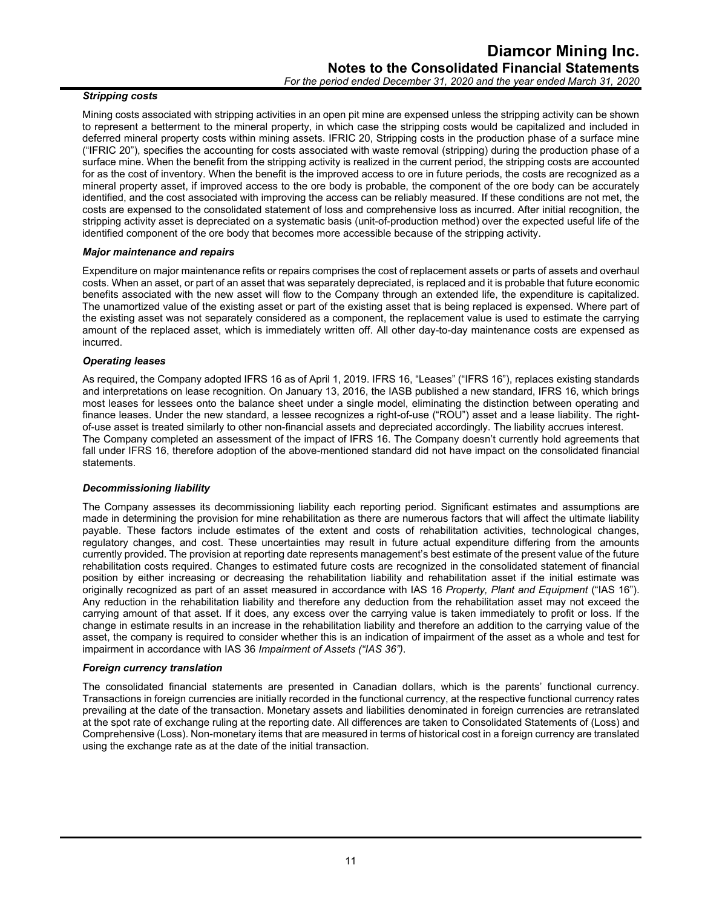#### *Stripping costs*

Mining costs associated with stripping activities in an open pit mine are expensed unless the stripping activity can be shown to represent a betterment to the mineral property, in which case the stripping costs would be capitalized and included in deferred mineral property costs within mining assets. IFRIC 20, Stripping costs in the production phase of a surface mine ("IFRIC 20"), specifies the accounting for costs associated with waste removal (stripping) during the production phase of a surface mine. When the benefit from the stripping activity is realized in the current period, the stripping costs are accounted for as the cost of inventory. When the benefit is the improved access to ore in future periods, the costs are recognized as a mineral property asset, if improved access to the ore body is probable, the component of the ore body can be accurately identified, and the cost associated with improving the access can be reliably measured. If these conditions are not met, the costs are expensed to the consolidated statement of loss and comprehensive loss as incurred. After initial recognition, the stripping activity asset is depreciated on a systematic basis (unit-of-production method) over the expected useful life of the identified component of the ore body that becomes more accessible because of the stripping activity.

#### *Major maintenance and repairs*

Expenditure on major maintenance refits or repairs comprises the cost of replacement assets or parts of assets and overhaul costs. When an asset, or part of an asset that was separately depreciated, is replaced and it is probable that future economic benefits associated with the new asset will flow to the Company through an extended life, the expenditure is capitalized. The unamortized value of the existing asset or part of the existing asset that is being replaced is expensed. Where part of the existing asset was not separately considered as a component, the replacement value is used to estimate the carrying amount of the replaced asset, which is immediately written off. All other day-to-day maintenance costs are expensed as incurred.

#### *Operating leases*

As required, the Company adopted IFRS 16 as of April 1, 2019. IFRS 16, "Leases" ("IFRS 16"), replaces existing standards and interpretations on lease recognition. On January 13, 2016, the IASB published a new standard, IFRS 16, which brings most leases for lessees onto the balance sheet under a single model, eliminating the distinction between operating and finance leases. Under the new standard, a lessee recognizes a right-of-use ("ROU") asset and a lease liability. The rightof-use asset is treated similarly to other non-financial assets and depreciated accordingly. The liability accrues interest. The Company completed an assessment of the impact of IFRS 16. The Company doesn't currently hold agreements that fall under IFRS 16, therefore adoption of the above-mentioned standard did not have impact on the consolidated financial statements.

#### *Decommissioning liability*

The Company assesses its decommissioning liability each reporting period. Significant estimates and assumptions are made in determining the provision for mine rehabilitation as there are numerous factors that will affect the ultimate liability payable. These factors include estimates of the extent and costs of rehabilitation activities, technological changes, regulatory changes, and cost. These uncertainties may result in future actual expenditure differing from the amounts currently provided. The provision at reporting date represents management's best estimate of the present value of the future rehabilitation costs required. Changes to estimated future costs are recognized in the consolidated statement of financial position by either increasing or decreasing the rehabilitation liability and rehabilitation asset if the initial estimate was originally recognized as part of an asset measured in accordance with IAS 16 *Property, Plant and Equipment* ("IAS 16"). Any reduction in the rehabilitation liability and therefore any deduction from the rehabilitation asset may not exceed the carrying amount of that asset. If it does, any excess over the carrying value is taken immediately to profit or loss. If the change in estimate results in an increase in the rehabilitation liability and therefore an addition to the carrying value of the asset, the company is required to consider whether this is an indication of impairment of the asset as a whole and test for impairment in accordance with IAS 36 *Impairment of Assets ("IAS 36")*.

#### *Foreign currency translation*

The consolidated financial statements are presented in Canadian dollars, which is the parents' functional currency. Transactions in foreign currencies are initially recorded in the functional currency, at the respective functional currency rates prevailing at the date of the transaction. Monetary assets and liabilities denominated in foreign currencies are retranslated at the spot rate of exchange ruling at the reporting date. All differences are taken to Consolidated Statements of (Loss) and Comprehensive (Loss). Non-monetary items that are measured in terms of historical cost in a foreign currency are translated using the exchange rate as at the date of the initial transaction.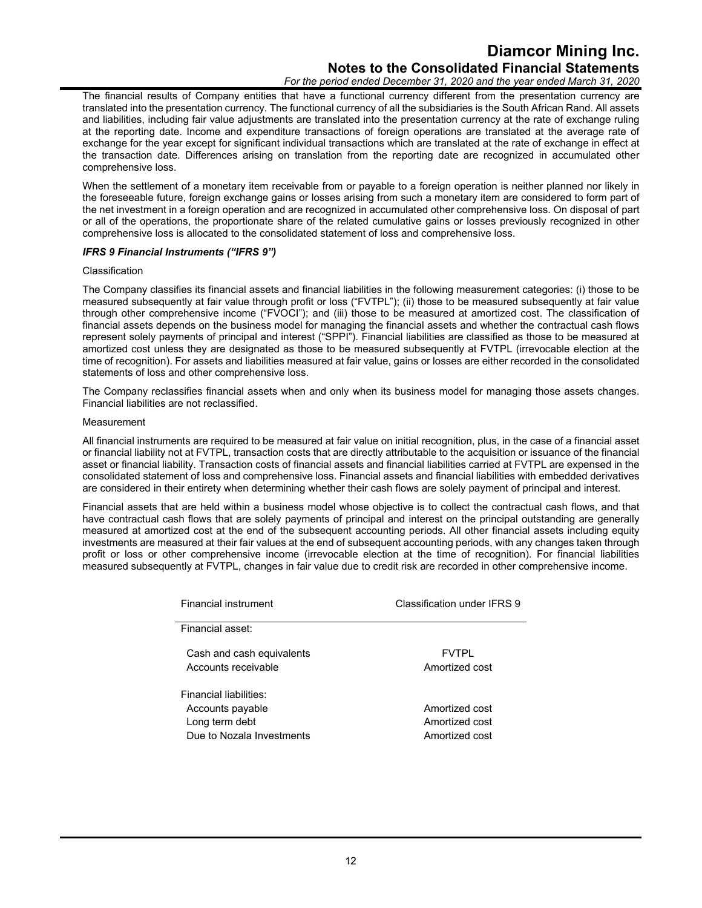# **Diamcor Mining Inc. Notes to the Consolidated Financial Statements**

*For the period ended December 31, 2020 and the year ended March 31, 2020*

The financial results of Company entities that have a functional currency different from the presentation currency are translated into the presentation currency. The functional currency of all the subsidiaries is the South African Rand. All assets and liabilities, including fair value adjustments are translated into the presentation currency at the rate of exchange ruling at the reporting date. Income and expenditure transactions of foreign operations are translated at the average rate of exchange for the year except for significant individual transactions which are translated at the rate of exchange in effect at the transaction date. Differences arising on translation from the reporting date are recognized in accumulated other comprehensive loss.

When the settlement of a monetary item receivable from or payable to a foreign operation is neither planned nor likely in the foreseeable future, foreign exchange gains or losses arising from such a monetary item are considered to form part of the net investment in a foreign operation and are recognized in accumulated other comprehensive loss. On disposal of part or all of the operations, the proportionate share of the related cumulative gains or losses previously recognized in other comprehensive loss is allocated to the consolidated statement of loss and comprehensive loss.

#### *IFRS 9 Financial Instruments ("IFRS 9")*

#### Classification

The Company classifies its financial assets and financial liabilities in the following measurement categories: (i) those to be measured subsequently at fair value through profit or loss ("FVTPL"); (ii) those to be measured subsequently at fair value through other comprehensive income ("FVOCI"); and (iii) those to be measured at amortized cost. The classification of financial assets depends on the business model for managing the financial assets and whether the contractual cash flows represent solely payments of principal and interest ("SPPI"). Financial liabilities are classified as those to be measured at amortized cost unless they are designated as those to be measured subsequently at FVTPL (irrevocable election at the time of recognition). For assets and liabilities measured at fair value, gains or losses are either recorded in the consolidated statements of loss and other comprehensive loss.

The Company reclassifies financial assets when and only when its business model for managing those assets changes. Financial liabilities are not reclassified.

#### Measurement

All financial instruments are required to be measured at fair value on initial recognition, plus, in the case of a financial asset or financial liability not at FVTPL, transaction costs that are directly attributable to the acquisition or issuance of the financial asset or financial liability. Transaction costs of financial assets and financial liabilities carried at FVTPL are expensed in the consolidated statement of loss and comprehensive loss. Financial assets and financial liabilities with embedded derivatives are considered in their entirety when determining whether their cash flows are solely payment of principal and interest.

Financial assets that are held within a business model whose objective is to collect the contractual cash flows, and that have contractual cash flows that are solely payments of principal and interest on the principal outstanding are generally measured at amortized cost at the end of the subsequent accounting periods. All other financial assets including equity investments are measured at their fair values at the end of subsequent accounting periods, with any changes taken through profit or loss or other comprehensive income (irrevocable election at the time of recognition). For financial liabilities measured subsequently at FVTPL, changes in fair value due to credit risk are recorded in other comprehensive income.

| <b>Financial instrument</b> | Classification under IFRS 9 |
|-----------------------------|-----------------------------|
| Financial asset:            |                             |
| Cash and cash equivalents   | <b>FVTPI</b>                |
| Accounts receivable         | Amortized cost              |
| Financial liabilities:      |                             |
| Accounts payable            | Amortized cost              |
| Long term debt              | Amortized cost              |
| Due to Nozala Investments   | Amortized cost              |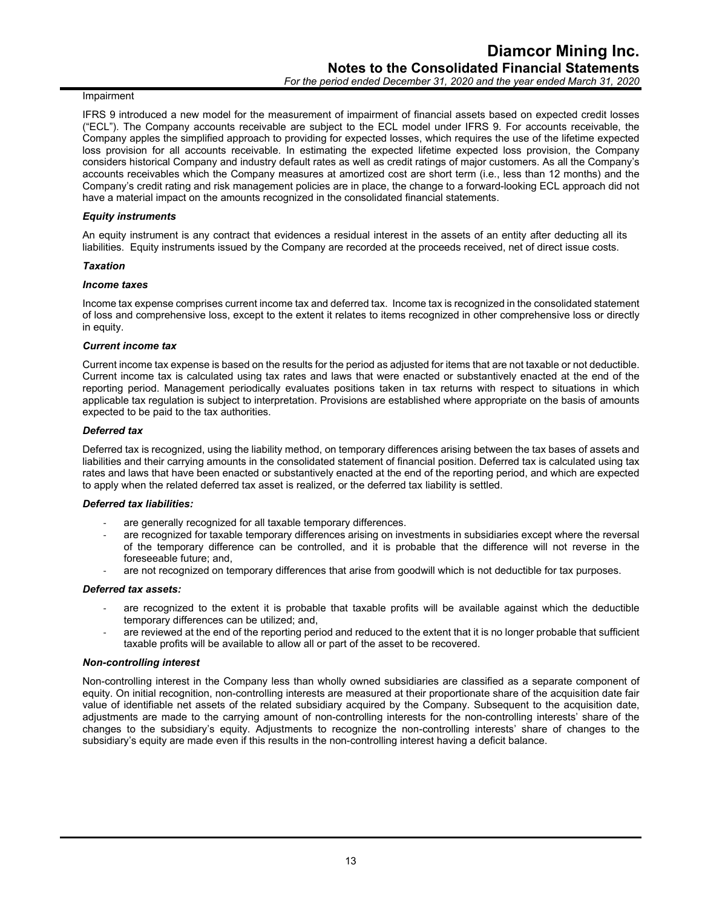#### Impairment

IFRS 9 introduced a new model for the measurement of impairment of financial assets based on expected credit losses ("ECL"). The Company accounts receivable are subject to the ECL model under IFRS 9. For accounts receivable, the Company apples the simplified approach to providing for expected losses, which requires the use of the lifetime expected loss provision for all accounts receivable. In estimating the expected lifetime expected loss provision, the Company considers historical Company and industry default rates as well as credit ratings of major customers. As all the Company's accounts receivables which the Company measures at amortized cost are short term (i.e., less than 12 months) and the Company's credit rating and risk management policies are in place, the change to a forward-looking ECL approach did not have a material impact on the amounts recognized in the consolidated financial statements.

#### *Equity instruments*

An equity instrument is any contract that evidences a residual interest in the assets of an entity after deducting all its liabilities. Equity instruments issued by the Company are recorded at the proceeds received, net of direct issue costs.

#### *Taxation*

#### *Income taxes*

Income tax expense comprises current income tax and deferred tax. Income tax is recognized in the consolidated statement of loss and comprehensive loss, except to the extent it relates to items recognized in other comprehensive loss or directly in equity.

#### *Current income tax*

Current income tax expense is based on the results for the period as adjusted for items that are not taxable or not deductible. Current income tax is calculated using tax rates and laws that were enacted or substantively enacted at the end of the reporting period. Management periodically evaluates positions taken in tax returns with respect to situations in which applicable tax regulation is subject to interpretation. Provisions are established where appropriate on the basis of amounts expected to be paid to the tax authorities.

#### *Deferred tax*

Deferred tax is recognized, using the liability method, on temporary differences arising between the tax bases of assets and liabilities and their carrying amounts in the consolidated statement of financial position. Deferred tax is calculated using tax rates and laws that have been enacted or substantively enacted at the end of the reporting period, and which are expected to apply when the related deferred tax asset is realized, or the deferred tax liability is settled.

#### *Deferred tax liabilities:*

- are generally recognized for all taxable temporary differences.
- are recognized for taxable temporary differences arising on investments in subsidiaries except where the reversal of the temporary difference can be controlled, and it is probable that the difference will not reverse in the foreseeable future; and,
- are not recognized on temporary differences that arise from goodwill which is not deductible for tax purposes.

#### *Deferred tax assets:*

- are recognized to the extent it is probable that taxable profits will be available against which the deductible temporary differences can be utilized; and,
- are reviewed at the end of the reporting period and reduced to the extent that it is no longer probable that sufficient taxable profits will be available to allow all or part of the asset to be recovered.

#### *Non-controlling interest*

Non-controlling interest in the Company less than wholly owned subsidiaries are classified as a separate component of equity. On initial recognition, non-controlling interests are measured at their proportionate share of the acquisition date fair value of identifiable net assets of the related subsidiary acquired by the Company. Subsequent to the acquisition date, adjustments are made to the carrying amount of non-controlling interests for the non-controlling interests' share of the changes to the subsidiary's equity. Adjustments to recognize the non-controlling interests' share of changes to the subsidiary's equity are made even if this results in the non-controlling interest having a deficit balance.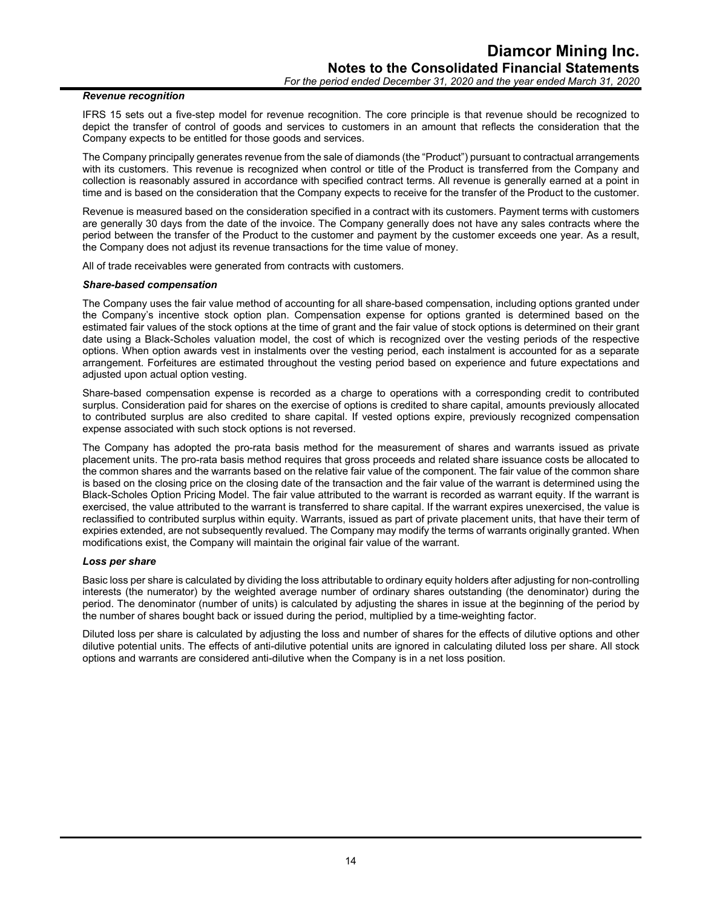#### *Revenue recognition*

IFRS 15 sets out a five-step model for revenue recognition. The core principle is that revenue should be recognized to depict the transfer of control of goods and services to customers in an amount that reflects the consideration that the Company expects to be entitled for those goods and services.

The Company principally generates revenue from the sale of diamonds (the "Product") pursuant to contractual arrangements with its customers. This revenue is recognized when control or title of the Product is transferred from the Company and collection is reasonably assured in accordance with specified contract terms. All revenue is generally earned at a point in time and is based on the consideration that the Company expects to receive for the transfer of the Product to the customer.

Revenue is measured based on the consideration specified in a contract with its customers. Payment terms with customers are generally 30 days from the date of the invoice. The Company generally does not have any sales contracts where the period between the transfer of the Product to the customer and payment by the customer exceeds one year. As a result, the Company does not adjust its revenue transactions for the time value of money.

All of trade receivables were generated from contracts with customers.

#### *Share-based compensation*

The Company uses the fair value method of accounting for all share-based compensation, including options granted under the Company's incentive stock option plan. Compensation expense for options granted is determined based on the estimated fair values of the stock options at the time of grant and the fair value of stock options is determined on their grant date using a Black-Scholes valuation model, the cost of which is recognized over the vesting periods of the respective options. When option awards vest in instalments over the vesting period, each instalment is accounted for as a separate arrangement. Forfeitures are estimated throughout the vesting period based on experience and future expectations and adiusted upon actual option vesting.

Share-based compensation expense is recorded as a charge to operations with a corresponding credit to contributed surplus. Consideration paid for shares on the exercise of options is credited to share capital, amounts previously allocated to contributed surplus are also credited to share capital. If vested options expire, previously recognized compensation expense associated with such stock options is not reversed.

The Company has adopted the pro-rata basis method for the measurement of shares and warrants issued as private placement units. The pro-rata basis method requires that gross proceeds and related share issuance costs be allocated to the common shares and the warrants based on the relative fair value of the component. The fair value of the common share is based on the closing price on the closing date of the transaction and the fair value of the warrant is determined using the Black-Scholes Option Pricing Model. The fair value attributed to the warrant is recorded as warrant equity. If the warrant is exercised, the value attributed to the warrant is transferred to share capital. If the warrant expires unexercised, the value is reclassified to contributed surplus within equity. Warrants, issued as part of private placement units, that have their term of expiries extended, are not subsequently revalued. The Company may modify the terms of warrants originally granted. When modifications exist, the Company will maintain the original fair value of the warrant.

#### *Loss per share*

Basic loss per share is calculated by dividing the loss attributable to ordinary equity holders after adjusting for non-controlling interests (the numerator) by the weighted average number of ordinary shares outstanding (the denominator) during the period. The denominator (number of units) is calculated by adjusting the shares in issue at the beginning of the period by the number of shares bought back or issued during the period, multiplied by a time-weighting factor.

Diluted loss per share is calculated by adjusting the loss and number of shares for the effects of dilutive options and other dilutive potential units. The effects of anti-dilutive potential units are ignored in calculating diluted loss per share. All stock options and warrants are considered anti-dilutive when the Company is in a net loss position.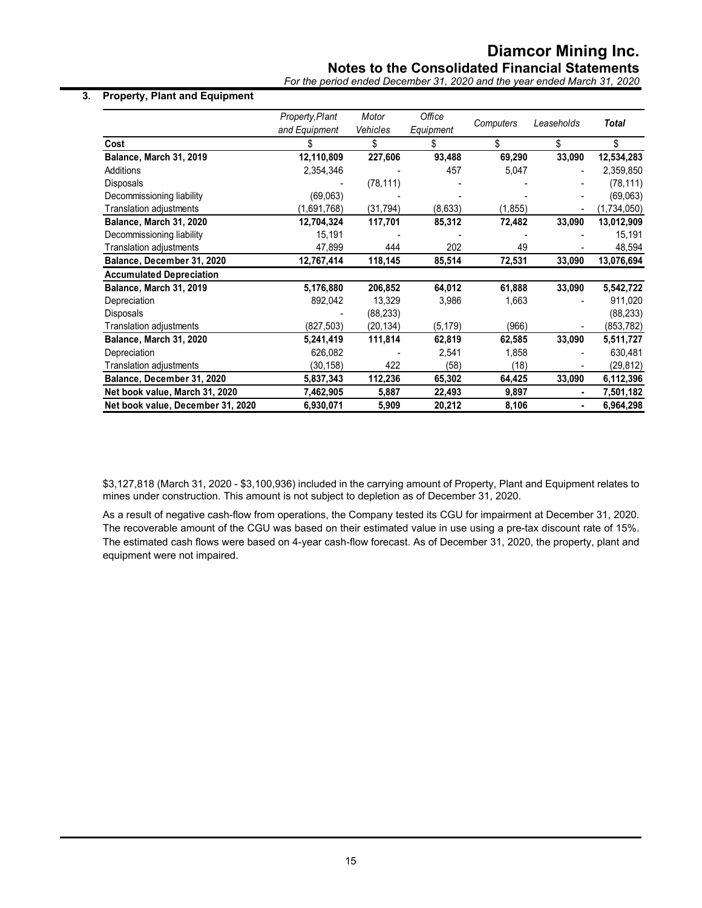## **Notes to the Consolidated Financial Statements**

*For the period ended December 31, 2020 and the year ended March 31, 2020*

#### **3. Property, Plant and Equipment**

|                                   | Property, Plant | Motor<br>Vehicles | Office    | Computers | Leaseholds     | <b>Total</b> |
|-----------------------------------|-----------------|-------------------|-----------|-----------|----------------|--------------|
| Cost                              | and Equipment   |                   | Equipment | \$        | \$             | \$           |
|                                   |                 | \$                | \$        |           |                |              |
| Balance, March 31, 2019           | 12,110,809      | 227,606           | 93,488    | 69,290    | 33,090         | 12,534,283   |
| <b>Additions</b>                  | 2,354,346       |                   | 457       | 5,047     |                | 2,359,850    |
| Disposals                         |                 | (78, 111)         |           |           |                | (78, 111)    |
| Decommissioning liability         | (69,063)        |                   |           |           |                | (69,063)     |
| <b>Translation adjustments</b>    | (1,691,768)     | (31, 794)         | (8,633)   | (1, 855)  |                | (1,734,050)  |
| Balance, March 31, 2020           | 12,704,324      | 117,701           | 85,312    | 72,482    | 33,090         | 13,012,909   |
| Decommissioning liability         | 15,191          |                   |           |           |                | 15,191       |
| Translation adjustments           | 47,899          | 444               | 202       | 49        |                | 48,594       |
| Balance, December 31, 2020        | 12,767,414      | 118,145           | 85,514    | 72,531    | 33,090         | 13,076,694   |
| <b>Accumulated Depreciation</b>   |                 |                   |           |           |                |              |
| Balance, March 31, 2019           | 5,176,880       | 206,852           | 64,012    | 61,888    | 33,090         | 5,542,722    |
| Depreciation                      | 892,042         | 13,329            | 3,986     | 1,663     |                | 911,020      |
| Disposals                         |                 | (88, 233)         |           |           |                | (88, 233)    |
| Translation adjustments           | (827, 503)      | (20,134)          | (5, 179)  | (966)     |                | (853,782)    |
| Balance, March 31, 2020           | 5,241,419       | 111,814           | 62,819    | 62,585    | 33,090         | 5,511,727    |
| Depreciation                      | 626,082         |                   | 2,541     | 1,858     |                | 630,481      |
| Translation adjustments           | (30, 158)       | 422               | (58)      | (18)      |                | (29, 812)    |
| Balance, December 31, 2020        | 5,837,343       | 112,236           | 65,302    | 64,425    | 33,090         | 6,112,396    |
| Net book value, March 31, 2020    | 7,462,905       | 5,887             | 22,493    | 9,897     | $\blacksquare$ | 7,501,182    |
| Net book value, December 31, 2020 | 6,930,071       | 5,909             | 20,212    | 8,106     | ٠              | 6,964,298    |

\$3,127,818 (March 31, 2020 - \$3,100,936) included in the carrying amount of Property, Plant and Equipment relates to mines under construction. This amount is not subject to depletion as of December 31, 2020.

As a result of negative cash-flow from operations, the Company tested its CGU for impairment at December 31, 2020. The recoverable amount of the CGU was based on their estimated value in use using a pre-tax discount rate of 15%. The estimated cash flows were based on 4-year cash-flow forecast. As of December 31, 2020, the property, plant and equipment were not impaired.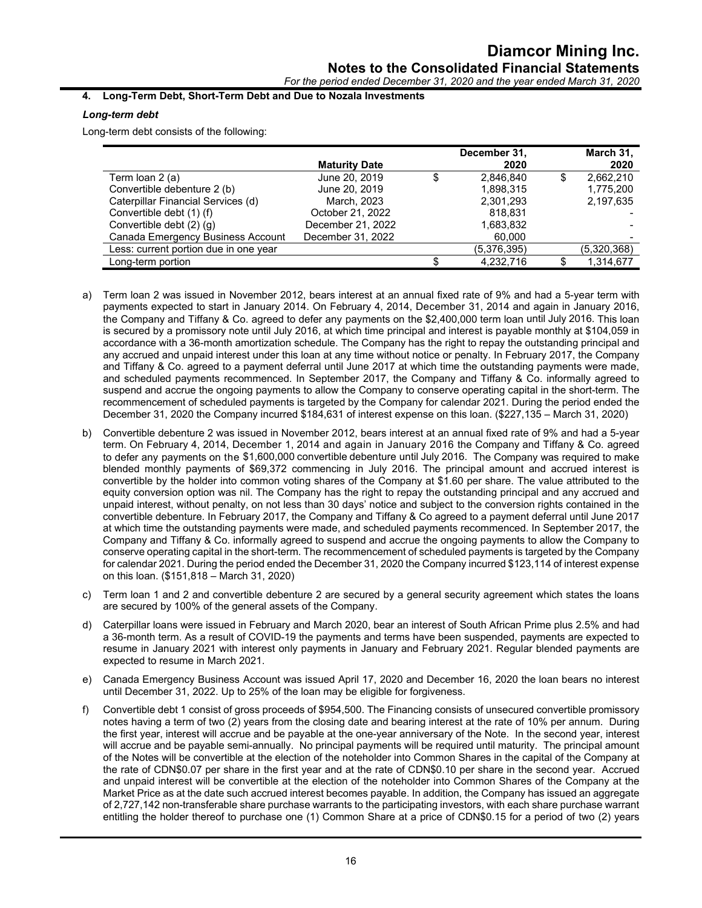### *For the period ended December 31, 2020 and the year ended March 31, 2020*

#### **4. Long-Term Debt, Short-Term Debt and Due to Nozala Investments**

#### *Long-term debt*

Long-term debt consists of the following:

|                                       |                      | December 31,    |   | March 31,   |
|---------------------------------------|----------------------|-----------------|---|-------------|
|                                       | <b>Maturity Date</b> | 2020            |   | 2020        |
| Term Ioan 2 (a)                       | June 20, 2019        | \$<br>2.846.840 | S | 2.662.210   |
| Convertible debenture 2 (b)           | June 20, 2019        | 1,898,315       |   | 1,775,200   |
| Caterpillar Financial Services (d)    | March, 2023          | 2,301,293       |   | 2,197,635   |
| Convertible debt (1) (f)              | October 21, 2022     | 818.831         |   |             |
| Convertible debt (2) (g)              | December 21, 2022    | 1,683,832       |   |             |
| Canada Emergency Business Account     | December 31, 2022    | 60,000          |   |             |
| Less: current portion due in one year |                      | (5,376,395)     |   | (5,320,368) |
| Long-term portion                     |                      | 4,232,716       |   | 1,314,677   |

- a) Term loan 2 was issued in November 2012, bears interest at an annual fixed rate of 9% and had a 5-year term with payments expected to start in January 2014. On February 4, 2014, December 31, 2014 and again in January 2016, the Company and Tiffany & Co. agreed to defer any payments on the \$2,400,000 term loan until July 2016. This loan is secured by a promissory note until July 2016, at which time principal and interest is payable monthly at \$104,059 in accordance with a 36-month amortization schedule. The Company has the right to repay the outstanding principal and any accrued and unpaid interest under this loan at any time without notice or penalty. In February 2017, the Company and Tiffany & Co. agreed to a payment deferral until June 2017 at which time the outstanding payments were made, and scheduled payments recommenced. In September 2017, the Company and Tiffany & Co. informally agreed to suspend and accrue the ongoing payments to allow the Company to conserve operating capital in the short-term. The recommencement of scheduled payments is targeted by the Company for calendar 2021. During the period ended the December 31, 2020 the Company incurred \$184,631 of interest expense on this loan. (\$227,135 – March 31, 2020)
- b) Convertible debenture 2 was issued in November 2012, bears interest at an annual fixed rate of 9% and had a 5-year term. On February 4, 2014, December 1, 2014 and again in January 2016 the Company and Tiffany & Co. agreed to defer any payments on the \$1,600,000 convertible debenture until July 2016. The Company was required to make blended monthly payments of \$69,372 commencing in July 2016. The principal amount and accrued interest is convertible by the holder into common voting shares of the Company at \$1.60 per share. The value attributed to the equity conversion option was nil. The Company has the right to repay the outstanding principal and any accrued and unpaid interest, without penalty, on not less than 30 days' notice and subject to the conversion rights contained in the convertible debenture. In February 2017, the Company and Tiffany & Co agreed to a payment deferral until June 2017 at which time the outstanding payments were made, and scheduled payments recommenced. In September 2017, the Company and Tiffany & Co. informally agreed to suspend and accrue the ongoing payments to allow the Company to conserve operating capital in the short-term. The recommencement of scheduled payments is targeted by the Company for calendar 2021. During the period ended the December 31, 2020 the Company incurred \$123,114 of interest expense on this loan. (\$151,818 – March 31, 2020)
- c) Term loan 1 and 2 and convertible debenture 2 are secured by a general security agreement which states the loans are secured by 100% of the general assets of the Company.
- d) Caterpillar loans were issued in February and March 2020, bear an interest of South African Prime plus 2.5% and had a 36-month term. As a result of COVID-19 the payments and terms have been suspended, payments are expected to resume in January 2021 with interest only payments in January and February 2021. Regular blended payments are expected to resume in March 2021.
- e) Canada Emergency Business Account was issued April 17, 2020 and December 16, 2020 the loan bears no interest until December 31, 2022. Up to 25% of the loan may be eligible for forgiveness.
- f) Convertible debt 1 consist of gross proceeds of \$954,500. The Financing consists of unsecured convertible promissory notes having a term of two (2) years from the closing date and bearing interest at the rate of 10% per annum. During the first year, interest will accrue and be payable at the one-year anniversary of the Note. In the second year, interest will accrue and be payable semi-annually. No principal payments will be required until maturity. The principal amount of the Notes will be convertible at the election of the noteholder into Common Shares in the capital of the Company at the rate of CDN\$0.07 per share in the first year and at the rate of CDN\$0.10 per share in the second year. Accrued and unpaid interest will be convertible at the election of the noteholder into Common Shares of the Company at the Market Price as at the date such accrued interest becomes payable. In addition, the Company has issued an aggregate of 2,727,142 non-transferable share purchase warrants to the participating investors, with each share purchase warrant entitling the holder thereof to purchase one (1) Common Share at a price of CDN\$0.15 for a period of two (2) years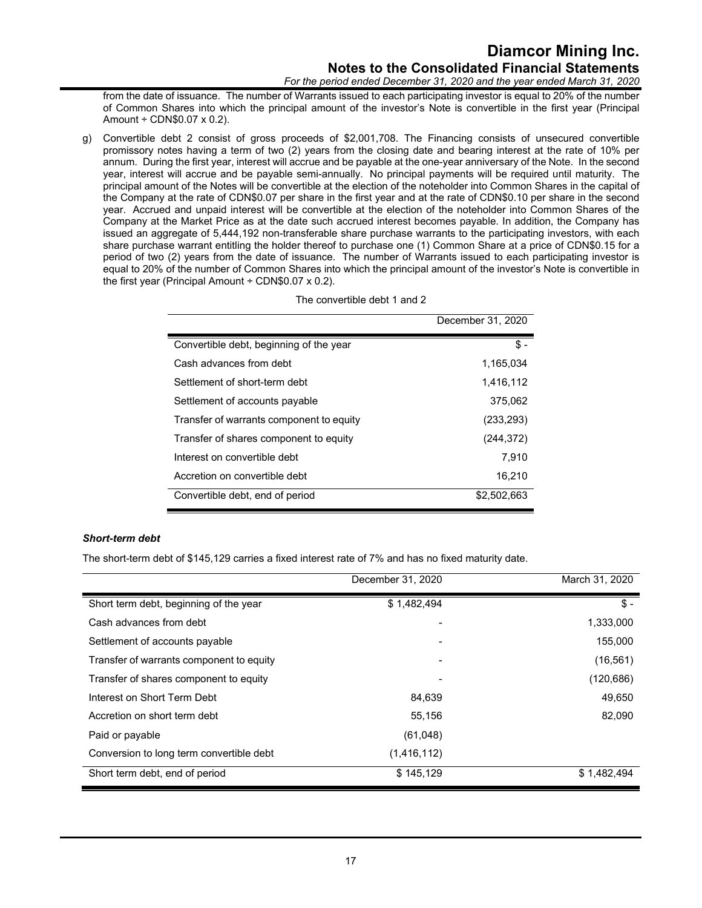# **Diamcor Mining Inc. Notes to the Consolidated Financial Statements**

*For the period ended December 31, 2020 and the year ended March 31, 2020*

from the date of issuance. The number of Warrants issued to each participating investor is equal to 20% of the number of Common Shares into which the principal amount of the investor's Note is convertible in the first year (Principal Amount ÷ CDN\$0.07 x 0.2).

g) Convertible debt 2 consist of gross proceeds of \$2,001,708. The Financing consists of unsecured convertible promissory notes having a term of two (2) years from the closing date and bearing interest at the rate of 10% per annum. During the first year, interest will accrue and be payable at the one-year anniversary of the Note. In the second year, interest will accrue and be payable semi-annually. No principal payments will be required until maturity. The principal amount of the Notes will be convertible at the election of the noteholder into Common Shares in the capital of the Company at the rate of CDN\$0.07 per share in the first year and at the rate of CDN\$0.10 per share in the second year. Accrued and unpaid interest will be convertible at the election of the noteholder into Common Shares of the Company at the Market Price as at the date such accrued interest becomes payable. In addition, the Company has issued an aggregate of 5,444,192 non-transferable share purchase warrants to the participating investors, with each share purchase warrant entitling the holder thereof to purchase one (1) Common Share at a price of CDN\$0.15 for a period of two (2) years from the date of issuance. The number of Warrants issued to each participating investor is equal to 20% of the number of Common Shares into which the principal amount of the investor's Note is convertible in the first year (Principal Amount  $\div$  CDN\$0.07 x 0.2).

|                                          | December 31, 2020 |
|------------------------------------------|-------------------|
| Convertible debt, beginning of the year  | \$.               |
| Cash advances from debt                  | 1,165,034         |
| Settlement of short-term debt            | 1,416,112         |
| Settlement of accounts payable           | 375.062           |
| Transfer of warrants component to equity | (233, 293)        |
| Transfer of shares component to equity   | (244, 372)        |
| Interest on convertible debt             | 7,910             |
| Accretion on convertible debt            | 16,210            |
| Convertible debt, end of period          | \$2,502,663       |

#### The convertible debt 1 and 2

#### *Short-term debt*

The short-term debt of \$145,129 carries a fixed interest rate of 7% and has no fixed maturity date.

|                                          | December 31, 2020 | March 31, 2020 |
|------------------------------------------|-------------------|----------------|
| Short term debt, beginning of the year   | \$1,482,494       | $$ -$          |
| Cash advances from debt                  |                   | 1,333,000      |
| Settlement of accounts payable           |                   | 155,000        |
| Transfer of warrants component to equity |                   | (16, 561)      |
| Transfer of shares component to equity   |                   | (120, 686)     |
| Interest on Short Term Debt              | 84,639            | 49,650         |
| Accretion on short term debt             | 55,156            | 82,090         |
| Paid or payable                          | (61,048)          |                |
| Conversion to long term convertible debt | (1,416,112)       |                |
| Short term debt, end of period           | \$145,129         | \$1,482,494    |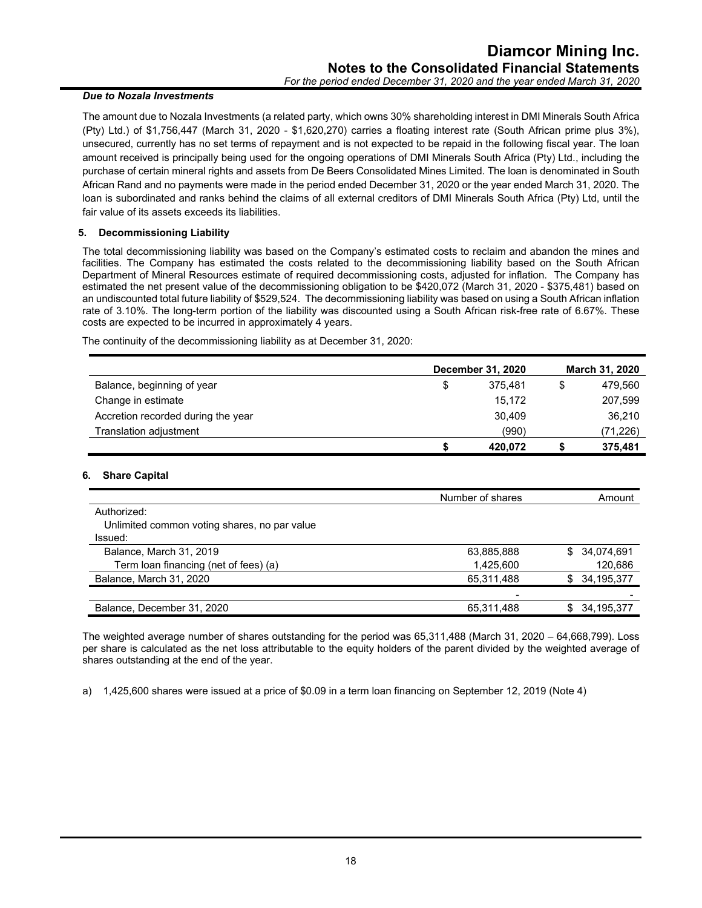#### *Due to Nozala Investments*

The amount due to Nozala Investments (a related party, which owns 30% shareholding interest in DMI Minerals South Africa (Pty) Ltd.) of \$1,756,447 (March 31, 2020 - \$1,620,270) carries a floating interest rate (South African prime plus 3%), unsecured, currently has no set terms of repayment and is not expected to be repaid in the following fiscal year. The loan amount received is principally being used for the ongoing operations of DMI Minerals South Africa (Pty) Ltd., including the purchase of certain mineral rights and assets from De Beers Consolidated Mines Limited. The loan is denominated in South African Rand and no payments were made in the period ended December 31, 2020 or the year ended March 31, 2020. The loan is subordinated and ranks behind the claims of all external creditors of DMI Minerals South Africa (Pty) Ltd, until the fair value of its assets exceeds its liabilities.

#### **5. Decommissioning Liability**

The total decommissioning liability was based on the Company's estimated costs to reclaim and abandon the mines and facilities. The Company has estimated the costs related to the decommissioning liability based on the South African Department of Mineral Resources estimate of required decommissioning costs, adjusted for inflation. The Company has estimated the net present value of the decommissioning obligation to be \$420,072 (March 31, 2020 - \$375,481) based on an undiscounted total future liability of \$529,524. The decommissioning liability was based on using a South African inflation rate of 3.10%. The long-term portion of the liability was discounted using a South African risk-free rate of 6.67%. These costs are expected to be incurred in approximately 4 years.

The continuity of the decommissioning liability as at December 31, 2020:

|                                    | <b>December 31, 2020</b> |         |   | March 31, 2020 |  |  |
|------------------------------------|--------------------------|---------|---|----------------|--|--|
| Balance, beginning of year         | \$                       | 375.481 | S | 479,560        |  |  |
| Change in estimate                 |                          | 15.172  |   | 207,599        |  |  |
| Accretion recorded during the year |                          | 30.409  |   | 36,210         |  |  |
| Translation adjustment             |                          | (990)   |   | (71,226)       |  |  |
|                                    |                          | 420.072 |   | 375.481        |  |  |

#### **6. Share Capital**

|                                              | Number of shares | Amount            |
|----------------------------------------------|------------------|-------------------|
| Authorized:                                  |                  |                   |
| Unlimited common voting shares, no par value |                  |                   |
| Issued:                                      |                  |                   |
| Balance, March 31, 2019                      | 63,885,888       | \$ 34,074,691     |
| Term loan financing (net of fees) (a)        | 1,425,600        | 120,686           |
| Balance, March 31, 2020                      | 65,311,488       | 34,195,377<br>\$. |
|                                              |                  |                   |
| Balance, December 31, 2020                   | 65,311,488       | 34,195,377        |

The weighted average number of shares outstanding for the period was 65,311,488 (March 31, 2020 – 64,668,799). Loss per share is calculated as the net loss attributable to the equity holders of the parent divided by the weighted average of shares outstanding at the end of the year.

a) 1,425,600 shares were issued at a price of \$0.09 in a term loan financing on September 12, 2019 (Note 4)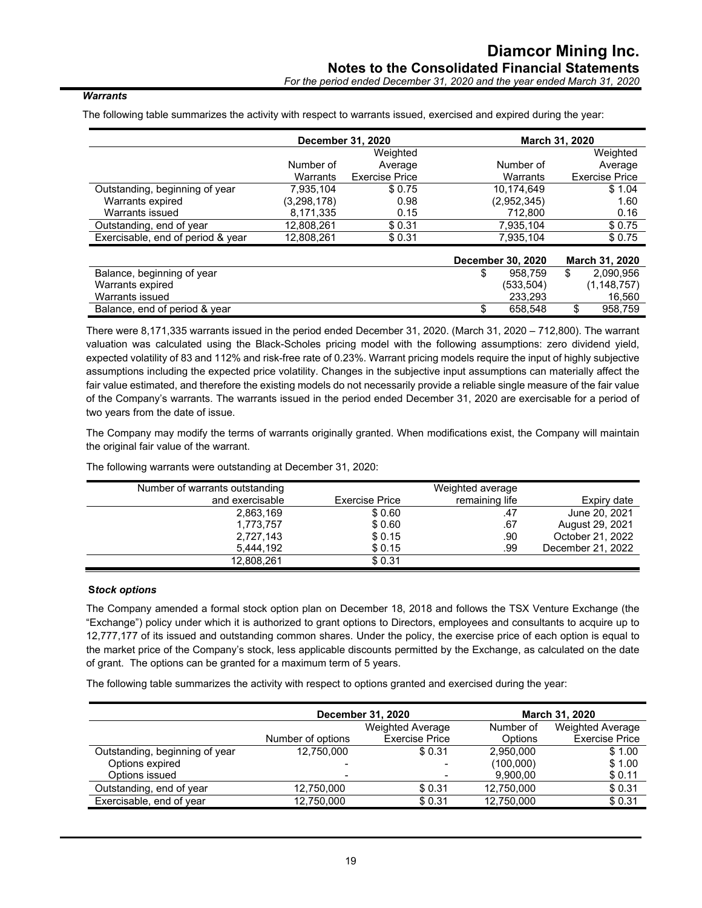#### *Warrants*

The following table summarizes the activity with respect to warrants issued, exercised and expired during the year:

|                                   |             | December 31, 2020     |                   | March 31, 2020        |
|-----------------------------------|-------------|-----------------------|-------------------|-----------------------|
|                                   |             | Weighted              |                   | Weighted              |
|                                   | Number of   | Average               | Number of         | Average               |
|                                   | Warrants    | <b>Exercise Price</b> | Warrants          | <b>Exercise Price</b> |
| Outstanding, beginning of year    | 7.935.104   | \$0.75                | 10.174.649        | \$1.04                |
| Warrants expired                  | (3,298,178) | 0.98                  | (2,952,345)       | 1.60                  |
| Warrants issued                   | 8,171,335   | 0.15                  | 712.800           | 0.16                  |
| Outstanding, end of year          | 12,808,261  | \$0.31                | 7,935,104         | \$0.75                |
| Exercisable, end of period & year | 12,808,261  | \$0.31                | 7.935.104         | \$0.75                |
|                                   |             |                       | December 30, 2020 | <b>March 31, 2020</b> |
| Balance, beginning of year        |             |                       | 958.759           | \$<br>2,090,956       |
| Warrants expired                  |             |                       | (533, 504)        | (1, 148, 757)         |
| Warrants issued                   |             |                       | 233,293           | 16,560                |
| Balance, end of period & year     |             |                       | \$<br>658,548     | \$<br>958,759         |

There were 8,171,335 warrants issued in the period ended December 31, 2020. (March 31, 2020 – 712,800). The warrant valuation was calculated using the Black-Scholes pricing model with the following assumptions: zero dividend yield, expected volatility of 83 and 112% and risk-free rate of 0.23%. Warrant pricing models require the input of highly subjective assumptions including the expected price volatility. Changes in the subjective input assumptions can materially affect the fair value estimated, and therefore the existing models do not necessarily provide a reliable single measure of the fair value of the Company's warrants. The warrants issued in the period ended December 31, 2020 are exercisable for a period of two years from the date of issue.

The Company may modify the terms of warrants originally granted. When modifications exist, the Company will maintain the original fair value of the warrant.

| Number of warrants outstanding |                | Weighted average |                   |
|--------------------------------|----------------|------------------|-------------------|
|                                |                |                  |                   |
| and exercisable                | Exercise Price | remaining life   | Expiry date       |
| 2,863,169                      | \$0.60         | .47              | June 20, 2021     |
| 1.773.757                      | \$0.60         | .67              | August 29, 2021   |
| 2,727,143                      | \$0.15         | .90              | October 21, 2022  |
| 5,444,192                      | \$0.15         | .99              | December 21, 2022 |
| 12,808,261                     | \$0.31         |                  |                   |

The following warrants were outstanding at December 31, 2020:

#### **S***tock options*

The Company amended a formal stock option plan on December 18, 2018 and follows the TSX Venture Exchange (the "Exchange") policy under which it is authorized to grant options to Directors, employees and consultants to acquire up to 12,777,177 of its issued and outstanding common shares. Under the policy, the exercise price of each option is equal to the market price of the Company's stock, less applicable discounts permitted by the Exchange, as calculated on the date of grant. The options can be granted for a maximum term of 5 years.

The following table summarizes the activity with respect to options granted and exercised during the year:

|                                |                          | December 31, 2020     | <b>March 31, 2020</b> |                         |  |
|--------------------------------|--------------------------|-----------------------|-----------------------|-------------------------|--|
|                                | <b>Weighted Average</b>  |                       | Number of             | <b>Weighted Average</b> |  |
|                                | Number of options        | <b>Exercise Price</b> | Options               | <b>Exercise Price</b>   |  |
| Outstanding, beginning of year | 12,750,000               | \$ 0.31               | 2.950.000             | \$1.00                  |  |
| Options expired                |                          |                       | (100,000)             | \$1.00                  |  |
| Options issued                 | $\overline{\phantom{a}}$ |                       | 9,900,00              | \$0.11                  |  |
| Outstanding, end of year       | 12.750.000               | \$0.31                | 12,750,000            | \$0.31                  |  |
| Exercisable, end of year       | 12,750,000               | \$0.31                | 12,750,000            | \$0.31                  |  |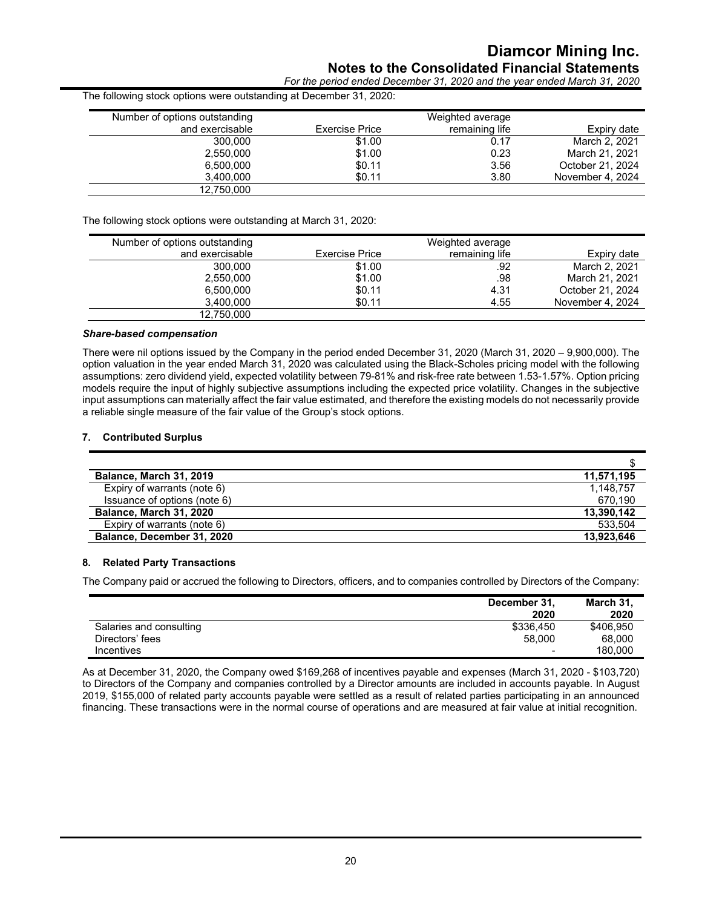### **Diamcor Mining Inc. Notes to the Consolidated Financial Statements**

*For the period ended December 31, 2020 and the year ended March 31, 2020*

| Number of options outstanding |                | Weighted average |                  |
|-------------------------------|----------------|------------------|------------------|
| and exercisable               | Exercise Price | remaining life   | Expiry date      |
| 300,000                       | \$1.00         | 0.17             | March 2, 2021    |
| 2,550,000                     | \$1.00         | 0.23             | March 21, 2021   |
| 6.500.000                     | \$0.11         | 3.56             | October 21, 2024 |
| 3.400.000                     | \$0.11         | 3.80             | November 4, 2024 |
| 12,750,000                    |                |                  |                  |

The following stock options were outstanding at March 31, 2020:

| Number of options outstanding |                       | Weighted average |                  |
|-------------------------------|-----------------------|------------------|------------------|
| and exercisable               | <b>Exercise Price</b> | remaining life   | Expiry date      |
| 300.000                       | \$1.00                | .92              | March 2, 2021    |
| 2.550.000                     | \$1.00                | .98              | March 21, 2021   |
| 6,500,000                     | \$0.11                | 4.31             | October 21, 2024 |
| 3,400,000                     | \$0.11                | 4.55             | November 4, 2024 |
| 12,750,000                    |                       |                  |                  |

#### *Share-based compensation*

There were nil options issued by the Company in the period ended December 31, 2020 (March 31, 2020 – 9,900,000). The option valuation in the year ended March 31, 2020 was calculated using the Black-Scholes pricing model with the following assumptions: zero dividend yield, expected volatility between 79-81% and risk-free rate between 1.53-1.57%. Option pricing models require the input of highly subjective assumptions including the expected price volatility. Changes in the subjective input assumptions can materially affect the fair value estimated, and therefore the existing models do not necessarily provide a reliable single measure of the fair value of the Group's stock options.

#### **7. Contributed Surplus**

| <b>Balance, March 31, 2019</b> | 11,571,195 |
|--------------------------------|------------|
| Expiry of warrants (note 6)    | 1.148.757  |
| Issuance of options (note 6)   | 670.190    |
| Balance, March 31, 2020        | 13,390,142 |
| Expiry of warrants (note 6)    | 533.504    |
| Balance, December 31, 2020     | 13,923,646 |

#### **8. Related Party Transactions**

The Company paid or accrued the following to Directors, officers, and to companies controlled by Directors of the Company:

|                         | December 31,<br>2020     | March 31,<br>2020 |
|-------------------------|--------------------------|-------------------|
| Salaries and consulting | \$336,450                | \$406,950         |
| Directors' fees         | 58,000                   | 68,000            |
| <b>Incentives</b>       | $\overline{\phantom{a}}$ | 180.000           |

As at December 31, 2020, the Company owed \$169,268 of incentives payable and expenses (March 31, 2020 - \$103,720) to Directors of the Company and companies controlled by a Director amounts are included in accounts payable. In August 2019, \$155,000 of related party accounts payable were settled as a result of related parties participating in an announced financing. These transactions were in the normal course of operations and are measured at fair value at initial recognition.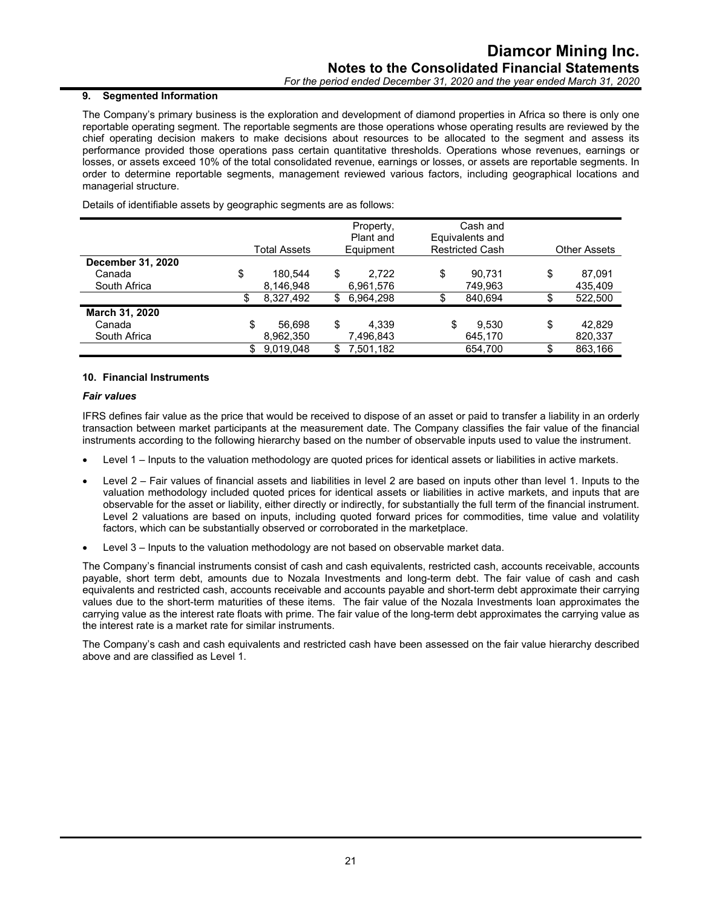#### **9. Segmented Information**

The Company's primary business is the exploration and development of diamond properties in Africa so there is only one reportable operating segment. The reportable segments are those operations whose operating results are reviewed by the chief operating decision makers to make decisions about resources to be allocated to the segment and assess its performance provided those operations pass certain quantitative thresholds. Operations whose revenues, earnings or losses, or assets exceed 10% of the total consolidated revenue, earnings or losses, or assets are reportable segments. In order to determine reportable segments, management reviewed various factors, including geographical locations and managerial structure.

Details of identifiable assets by geographic segments are as follows:

|                          |    |              |     | Property, |    | Cash and               |    |                     |
|--------------------------|----|--------------|-----|-----------|----|------------------------|----|---------------------|
|                          |    |              |     | Plant and |    | Equivalents and        |    |                     |
|                          |    | Total Assets |     | Equipment |    | <b>Restricted Cash</b> |    | <b>Other Assets</b> |
| <b>December 31, 2020</b> |    |              |     |           |    |                        |    |                     |
| Canada                   | \$ | 180.544      | \$  | 2,722     | \$ | 90,731                 | \$ | 87,091              |
| South Africa             |    | 8,146,948    |     | 6,961,576 |    | 749,963                |    | 435,409             |
|                          | S  | 8,327,492    | \$. | 6.964.298 | \$ | 840.694                |    | 522,500             |
| March 31, 2020           |    |              |     |           |    |                        |    |                     |
| Canada                   | \$ | 56.698       | \$  | 4.339     | \$ | 9.530                  | \$ | 42,829              |
| South Africa             |    | 8,962,350    |     | 7,496,843 |    | 645,170                |    | 820,337             |
|                          |    | 9.019.048    |     | 7.501.182 |    | 654.700                |    | 863.166             |

#### **10. Financial Instruments**

#### *Fair values*

IFRS defines fair value as the price that would be received to dispose of an asset or paid to transfer a liability in an orderly transaction between market participants at the measurement date. The Company classifies the fair value of the financial instruments according to the following hierarchy based on the number of observable inputs used to value the instrument.

- Level 1 Inputs to the valuation methodology are quoted prices for identical assets or liabilities in active markets.
- Level 2 Fair values of financial assets and liabilities in level 2 are based on inputs other than level 1. Inputs to the valuation methodology included quoted prices for identical assets or liabilities in active markets, and inputs that are observable for the asset or liability, either directly or indirectly, for substantially the full term of the financial instrument. Level 2 valuations are based on inputs, including quoted forward prices for commodities, time value and volatility factors, which can be substantially observed or corroborated in the marketplace.
- Level 3 Inputs to the valuation methodology are not based on observable market data.

The Company's financial instruments consist of cash and cash equivalents, restricted cash, accounts receivable, accounts payable, short term debt, amounts due to Nozala Investments and long-term debt. The fair value of cash and cash equivalents and restricted cash, accounts receivable and accounts payable and short-term debt approximate their carrying values due to the short-term maturities of these items. The fair value of the Nozala Investments loan approximates the carrying value as the interest rate floats with prime. The fair value of the long-term debt approximates the carrying value as the interest rate is a market rate for similar instruments.

The Company's cash and cash equivalents and restricted cash have been assessed on the fair value hierarchy described above and are classified as Level 1.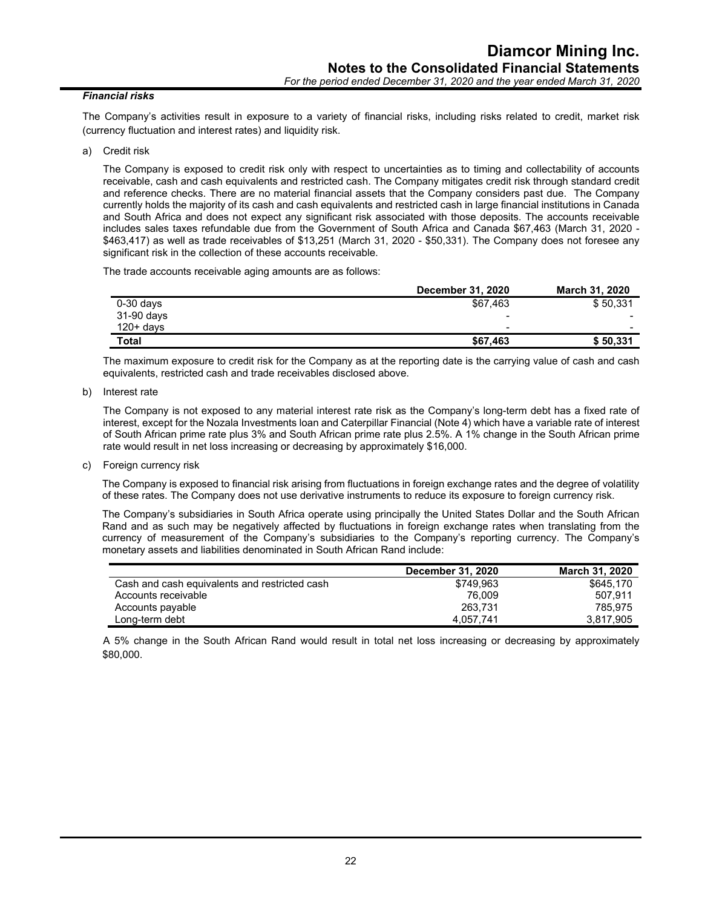#### *Financial risks*

The Company's activities result in exposure to a variety of financial risks, including risks related to credit, market risk (currency fluctuation and interest rates) and liquidity risk.

a) Credit risk

The Company is exposed to credit risk only with respect to uncertainties as to timing and collectability of accounts receivable, cash and cash equivalents and restricted cash. The Company mitigates credit risk through standard credit and reference checks. There are no material financial assets that the Company considers past due. The Company currently holds the majority of its cash and cash equivalents and restricted cash in large financial institutions in Canada and South Africa and does not expect any significant risk associated with those deposits. The accounts receivable includes sales taxes refundable due from the Government of South Africa and Canada \$67,463 (March 31, 2020 - \$463,417) as well as trade receivables of \$13,251 (March 31, 2020 - \$50,331). The Company does not foresee any significant risk in the collection of these accounts receivable.

The trade accounts receivable aging amounts are as follows:

|              | December 31, 2020 | <b>March 31, 2020</b>    |
|--------------|-------------------|--------------------------|
| $0-30$ days  | \$67,463          | \$50,331                 |
| 31-90 days   | -                 | -                        |
| $120+$ davs  | -                 | $\overline{\phantom{0}}$ |
| <b>Total</b> | \$67,463          | \$50,331                 |

The maximum exposure to credit risk for the Company as at the reporting date is the carrying value of cash and cash equivalents, restricted cash and trade receivables disclosed above.

b) Interest rate

The Company is not exposed to any material interest rate risk as the Company's long-term debt has a fixed rate of interest, except for the Nozala Investments loan and Caterpillar Financial (Note 4) which have a variable rate of interest of South African prime rate plus 3% and South African prime rate plus 2.5%. A 1% change in the South African prime rate would result in net loss increasing or decreasing by approximately \$16,000.

c) Foreign currency risk

The Company is exposed to financial risk arising from fluctuations in foreign exchange rates and the degree of volatility of these rates. The Company does not use derivative instruments to reduce its exposure to foreign currency risk.

The Company's subsidiaries in South Africa operate using principally the United States Dollar and the South African Rand and as such may be negatively affected by fluctuations in foreign exchange rates when translating from the currency of measurement of the Company's subsidiaries to the Company's reporting currency. The Company's monetary assets and liabilities denominated in South African Rand include:

|                                               | December 31, 2020 | March 31, 2020 |
|-----------------------------------------------|-------------------|----------------|
| Cash and cash equivalents and restricted cash | \$749.963         | \$645.170      |
| Accounts receivable                           | 76.009            | 507.911        |
| Accounts payable                              | 263.731           | 785.975        |
| Long-term debt                                | 4.057.741         | 3.817.905      |

A 5% change in the South African Rand would result in total net loss increasing or decreasing by approximately \$80,000.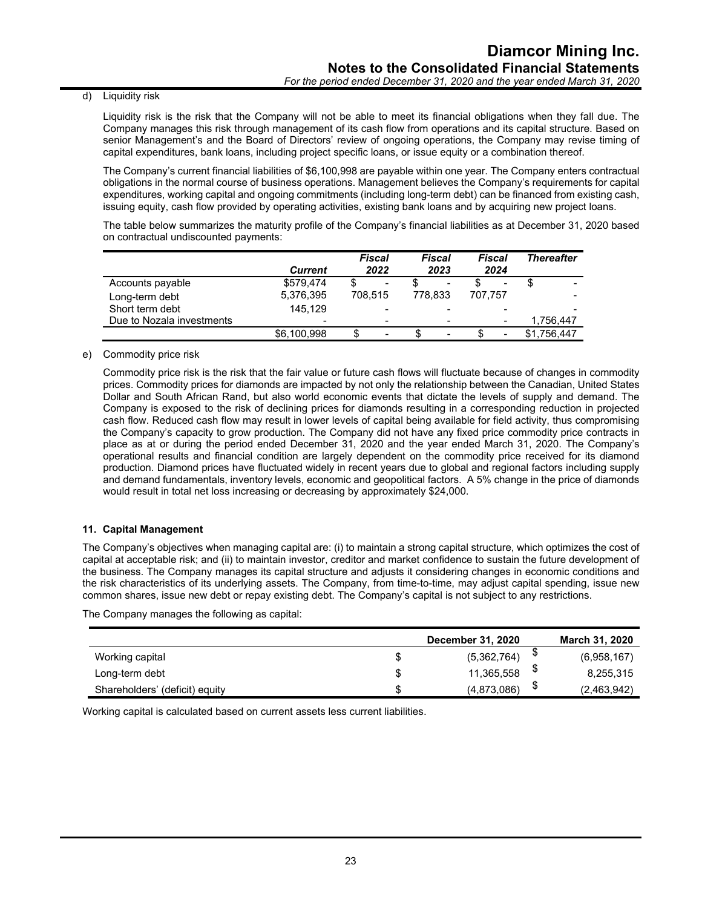#### d) Liquidity risk

Liquidity risk is the risk that the Company will not be able to meet its financial obligations when they fall due. The Company manages this risk through management of its cash flow from operations and its capital structure. Based on senior Management's and the Board of Directors' review of ongoing operations, the Company may revise timing of capital expenditures, bank loans, including project specific loans, or issue equity or a combination thereof.

The Company's current financial liabilities of \$6,100,998 are payable within one year. The Company enters contractual obligations in the normal course of business operations. Management believes the Company's requirements for capital expenditures, working capital and ongoing commitments (including long-term debt) can be financed from existing cash, issuing equity, cash flow provided by operating activities, existing bank loans and by acquiring new project loans.

The table below summarizes the maturity profile of the Company's financial liabilities as at December 31, 2020 based on contractual undiscounted payments:

|                           | <b>Current</b>  | <b>Fiscal</b><br>2022    | Fiscal<br>2023           | Fiscal<br>2024           | <b>Thereafter</b> |
|---------------------------|-----------------|--------------------------|--------------------------|--------------------------|-------------------|
| Accounts payable          | \$579.474       | c<br>$\blacksquare$      | $\,$                     | $\blacksquare$           |                   |
| Long-term debt            | 5,376,395       | 708.515                  | 778.833                  | 707.757                  |                   |
| Short term debt           | 145.129         |                          |                          |                          |                   |
| Due to Nozala investments | $\qquad \qquad$ | $\overline{\phantom{0}}$ | $\overline{\phantom{0}}$ | $\overline{\phantom{a}}$ | 1.756.447         |
|                           | \$6,100,998     | \$<br>$\qquad \qquad$    | $\,$                     | $\blacksquare$           | \$1.756.447       |

#### e) Commodity price risk

Commodity price risk is the risk that the fair value or future cash flows will fluctuate because of changes in commodity prices. Commodity prices for diamonds are impacted by not only the relationship between the Canadian, United States Dollar and South African Rand, but also world economic events that dictate the levels of supply and demand. The Company is exposed to the risk of declining prices for diamonds resulting in a corresponding reduction in projected cash flow. Reduced cash flow may result in lower levels of capital being available for field activity, thus compromising the Company's capacity to grow production. The Company did not have any fixed price commodity price contracts in place as at or during the period ended December 31, 2020 and the year ended March 31, 2020. The Company's operational results and financial condition are largely dependent on the commodity price received for its diamond production. Diamond prices have fluctuated widely in recent years due to global and regional factors including supply and demand fundamentals, inventory levels, economic and geopolitical factors. A 5% change in the price of diamonds would result in total net loss increasing or decreasing by approximately \$24,000.

#### **11. Capital Management**

The Company's objectives when managing capital are: (i) to maintain a strong capital structure, which optimizes the cost of capital at acceptable risk; and (ii) to maintain investor, creditor and market confidence to sustain the future development of the business. The Company manages its capital structure and adjusts it considering changes in economic conditions and the risk characteristics of its underlying assets. The Company, from time-to-time, may adjust capital spending, issue new common shares, issue new debt or repay existing debt. The Company's capital is not subject to any restrictions.

The Company manages the following as capital:

|                                | December 31, 2020 |   | <b>March 31, 2020</b> |
|--------------------------------|-------------------|---|-----------------------|
| Working capital                | \$<br>(5,362,764) |   | (6,958,167)           |
| Long-term debt                 | \$<br>11,365,558  | Φ | 8,255,315             |
| Shareholders' (deficit) equity | \$<br>(4,873,086) | ง | (2,463,942)           |

Working capital is calculated based on current assets less current liabilities.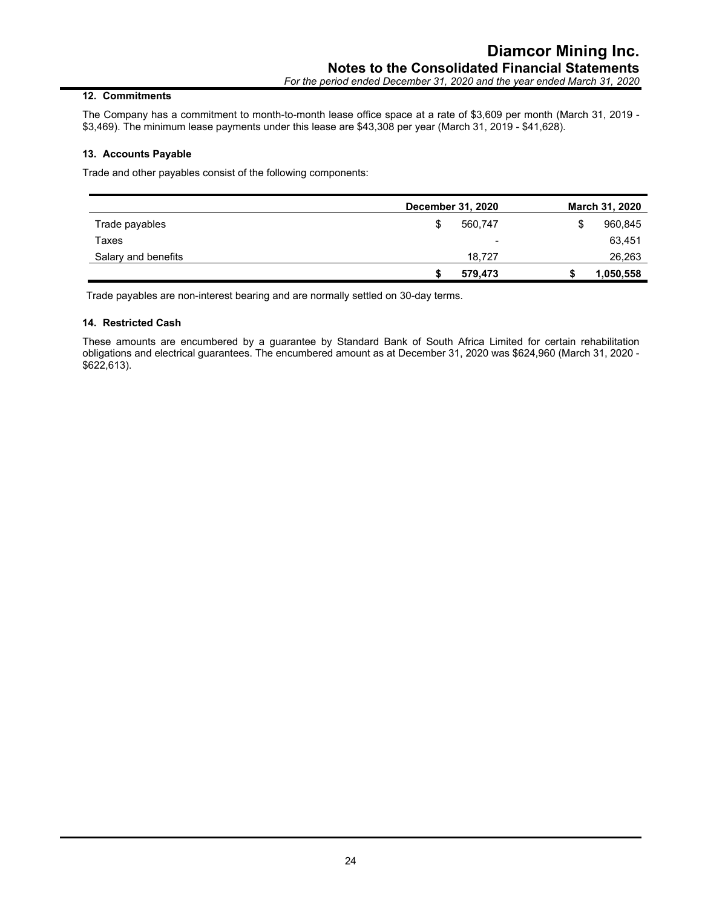#### **12. Commitments**

The Company has a commitment to month-to-month lease office space at a rate of \$3,609 per month (March 31, 2019 - \$3,469). The minimum lease payments under this lease are \$43,308 per year (March 31, 2019 - \$41,628).

#### **13. Accounts Payable**

Trade and other payables consist of the following components:

|                     | December 31, 2020 | <b>March 31, 2020</b>    |
|---------------------|-------------------|--------------------------|
| Trade payables      | 560,747<br>\$     | 960,845<br>S             |
| Taxes               |                   | 63,451<br>$\blacksquare$ |
| Salary and benefits | 18.727            | 26,263                   |
|                     | 579,473           | 1,050,558                |

Trade payables are non-interest bearing and are normally settled on 30-day terms.

#### **14. Restricted Cash**

These amounts are encumbered by a guarantee by Standard Bank of South Africa Limited for certain rehabilitation obligations and electrical guarantees. The encumbered amount as at December 31, 2020 was \$624,960 (March 31, 2020 - \$622,613).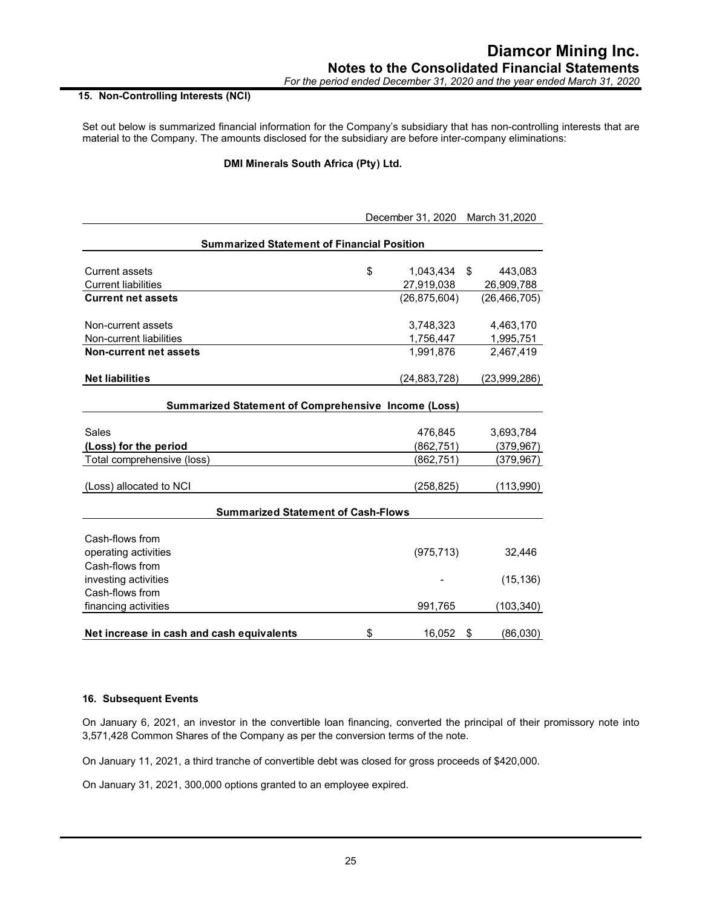#### **15. Non-Controlling Interests (NCI)**

Set out below is summarized financial information for the Company's subsidiary that has non-controlling interests that are material to the Company. The amounts disclosed for the subsidiary are before inter-company eliminations:

#### **DMI Minerals South Africa (Pty) Ltd.**

|                                                   | December 31, 2020 March 31, 2020 |                |    |                |
|---------------------------------------------------|----------------------------------|----------------|----|----------------|
| <b>Summarized Statement of Financial Position</b> |                                  |                |    |                |
| <b>Current assets</b>                             | \$                               | 1,043,434      | \$ | 443,083        |
| <b>Current liabilities</b>                        |                                  | 27,919,038     |    | 26,909,788     |
| <b>Current net assets</b>                         |                                  | (26, 875, 604) |    | (26, 466, 705) |
| Non-current assets                                |                                  | 3,748,323      |    | 4,463,170      |
| Non-current liabilities                           |                                  | 1,756,447      |    | 1,995,751      |
| <b>Non-current net assets</b>                     |                                  | 1,991,876      |    | 2,467,419      |
| <b>Net liabilities</b>                            |                                  | (24,883,728)   |    | (23,999,286)   |
| Sales                                             |                                  | 476,845        |    | 3,693,784      |
| (Loss) for the period                             |                                  | (862, 751)     |    | (379, 967)     |
| Total comprehensive (loss)                        |                                  | (862, 751)     |    | (379, 967)     |
| (Loss) allocated to NCI                           |                                  | (258, 825)     |    | (113,990)      |
| <b>Summarized Statement of Cash-Flows</b>         |                                  |                |    |                |
| Cash-flows from                                   |                                  |                |    |                |
| operating activities                              |                                  | (975, 713)     |    | 32,446         |
| Cash-flows from                                   |                                  |                |    |                |
| investing activities                              |                                  |                |    | (15, 136)      |
| Cash-flows from                                   |                                  |                |    |                |
| financing activities                              |                                  | 991,765        |    | (103, 340)     |
| Net increase in cash and cash equivalents         | \$                               | 16.052         | \$ | (86,030)       |

#### **16. Subsequent Events**

On January 6, 2021, an investor in the convertible loan financing, converted the principal of their promissory note into 3,571,428 Common Shares of the Company as per the conversion terms of the note.

On January 11, 2021, a third tranche of convertible debt was closed for gross proceeds of \$420,000.

On January 31, 2021, 300,000 options granted to an employee expired.